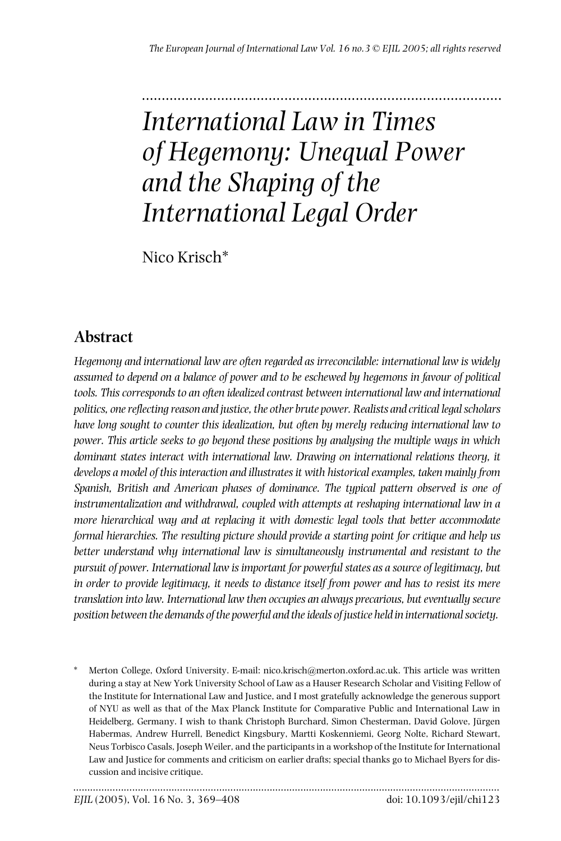# ........................................................................................... *International Law in Times of Hegemony: Unequal Power and the Shaping of the International Legal Order*

Nico Krisch\*

# **Abstract**

*Hegemony and international law are often regarded as irreconcilable: international law is widely assumed to depend on a balance of power and to be eschewed by hegemons in favour of political tools. This corresponds to an often idealized contrast between international law and international politics, one reflecting reason and justice, the other brute power. Realists and critical legal scholars have long sought to counter this idealization, but often by merely reducing international law to power. This article seeks to go beyond these positions by analysing the multiple ways in which dominant states interact with international law. Drawing on international relations theory, it develops a model of this interaction and illustrates it with historical examples, taken mainly from Spanish, British and American phases of dominance. The typical pattern observed is one of instrumentalization and withdrawal, coupled with attempts at reshaping international law in a more hierarchical way and at replacing it with domestic legal tools that better accommodate formal hierarchies. The resulting picture should provide a starting point for critique and help us better understand why international law is simultaneously instrumental and resistant to the pursuit of power. International law is important for powerful states as a source of legitimacy, but in order to provide legitimacy, it needs to distance itself from power and has to resist its mere translation into law. International law then occupies an always precarious, but eventually secure position between the demands of the powerful and the ideals of justice held in international society.* 

\* Merton College, Oxford University. E-mail: nico.krisch@merton.oxford.ac.uk. This article was written during a stay at New York University School of Law as a Hauser Research Scholar and Visiting Fellow of the Institute for International Law and Justice, and I most gratefully acknowledge the generous support of NYU as well as that of the Max Planck Institute for Comparative Public and International Law in Heidelberg, Germany. I wish to thank Christoph Burchard, Simon Chesterman, David Golove, Jürgen Habermas, Andrew Hurrell, Benedict Kingsbury, Martti Koskenniemi, Georg Nolte, Richard Stewart, Neus Torbisco Casals, Joseph Weiler, and the participants in a workshop of the Institute for International Law and Justice for comments and criticism on earlier drafts; special thanks go to Michael Byers for discussion and incisive critique.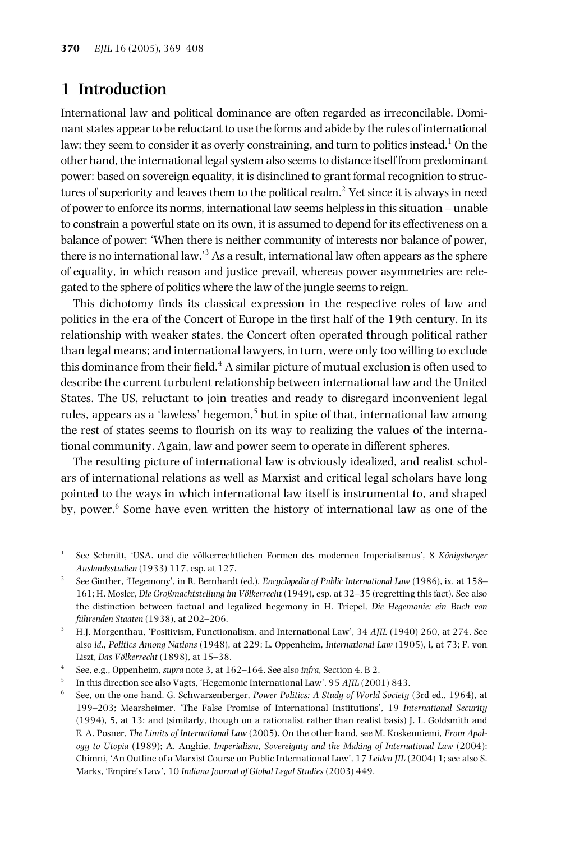## **1 Introduction**

International law and political dominance are often regarded as irreconcilable. Dominant states appear to be reluctant to use the forms and abide by the rules of international law; they seem to consider it as overly constraining, and turn to politics instead.<sup>1</sup> On the other hand, the international legal system also seems to distance itself from predominant power: based on sovereign equality, it is disinclined to grant formal recognition to structures of superiority and leaves them to the political realm.<sup>2</sup> Yet since it is always in need of power to enforce its norms, international law seems helpless in this situation – unable to constrain a powerful state on its own, it is assumed to depend for its effectiveness on a balance of power: 'When there is neither community of interests nor balance of power, there is no international law.'<sup>3</sup> As a result, international law often appears as the sphere of equality, in which reason and justice prevail, whereas power asymmetries are relegated to the sphere of politics where the law of the jungle seems to reign.

This dichotomy finds its classical expression in the respective roles of law and politics in the era of the Concert of Europe in the first half of the 19th century. In its relationship with weaker states, the Concert often operated through political rather than legal means; and international lawyers, in turn, were only too willing to exclude this dominance from their field.<sup>4</sup> A similar picture of mutual exclusion is often used to describe the current turbulent relationship between international law and the United States. The US, reluctant to join treaties and ready to disregard inconvenient legal rules, appears as a 'lawless' hegemon,<sup>5</sup> but in spite of that, international law among the rest of states seems to flourish on its way to realizing the values of the international community. Again, law and power seem to operate in different spheres.

The resulting picture of international law is obviously idealized, and realist scholars of international relations as well as Marxist and critical legal scholars have long pointed to the ways in which international law itself is instrumental to, and shaped by, power.<sup>6</sup> Some have even written the history of international law as one of the

- 161; H. Mosler, *Die Großmachtstellung im Völkerrecht* (1949), esp. at 32–35 (regretting this fact). See also the distinction between factual and legalized hegemony in H. Triepel, *Die Hegemonie: ein Buch von*
- *führenden Staaten* (1938), at 202–206. 3 H.J. Morgenthau, 'Positivism, Functionalism, and International Law', 34 *AJIL* (1940) 260, at 274. See also *id*., *Politics Among Nations* (1948), at 229; L. Oppenheim, *International Law* (1905), i, at 73; F. von Liszt, *Das Völkerrecht* (1898), at 15–38.<br>See, e.g., Oppenheim, *supra* note 3, at 162–164. See also *infra*, Section 4, B 2.<br>In this direction see also Vagts, 'Hegemonic International Law', 95 *AJIL* (2001) 843.<br>See, on
- 
- 
- 199–203; Mearsheimer, 'The False Promise of International Institutions', 19 *International Security* (1994), 5, at 13; and (similarly, though on a rationalist rather than realist basis) J. L. Goldsmith and E. A. Posner, *The Limits of International Law* (2005). On the other hand, see M. Koskenniemi, *From Apology to Utopia* (1989); A. Anghie, *Imperialism, Sovereignty and the Making of International Law* (2004); Chimni, 'An Outline of a Marxist Course on Public International Law', 17 *Leiden JIL* (2004) 1; see also S. Marks, 'Empire's Law', 10 *Indiana Journal of Global Legal Studies* (2003) 449.

<sup>1</sup> See Schmitt, 'USA. und die völkerrechtlichen Formen des modernen Imperialismus', 8 *Königsberger Auslandsstudien* (1933) 117, esp. at 127. 2 See Ginther, 'Hegemony', in R. Bernhardt (ed.), *Encyclopedia of Public International Law* (1986), ix, at 158–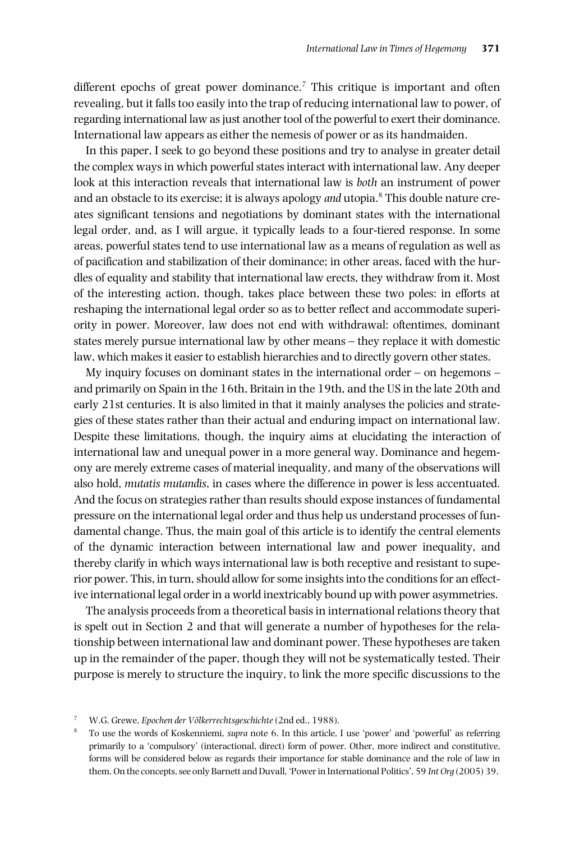different epochs of great power dominance.<sup>7</sup> This critique is important and often revealing, but it falls too easily into the trap of reducing international law to power, of regarding international law as just another tool of the powerful to exert their dominance. International law appears as either the nemesis of power or as its handmaiden.

In this paper, I seek to go beyond these positions and try to analyse in greater detail the complex ways in which powerful states interact with international law. Any deeper look at this interaction reveals that international law is *both* an instrument of power and an obstacle to its exercise; it is always apology *and* utopia.<sup>8</sup> This double nature creates significant tensions and negotiations by dominant states with the international legal order, and, as I will argue, it typically leads to a four-tiered response. In some areas, powerful states tend to use international law as a means of regulation as well as of pacification and stabilization of their dominance; in other areas, faced with the hurdles of equality and stability that international law erects, they withdraw from it. Most of the interesting action, though, takes place between these two poles: in efforts at reshaping the international legal order so as to better reflect and accommodate superiority in power. Moreover, law does not end with withdrawal: oftentimes, dominant states merely pursue international law by other means – they replace it with domestic law, which makes it easier to establish hierarchies and to directly govern other states.

My inquiry focuses on dominant states in the international order – on hegemons – and primarily on Spain in the 16th, Britain in the 19th, and the US in the late 20th and early 21st centuries. It is also limited in that it mainly analyses the policies and strategies of these states rather than their actual and enduring impact on international law. Despite these limitations, though, the inquiry aims at elucidating the interaction of international law and unequal power in a more general way. Dominance and hegemony are merely extreme cases of material inequality, and many of the observations will also hold, *mutatis mutandis*, in cases where the difference in power is less accentuated. And the focus on strategies rather than results should expose instances of fundamental pressure on the international legal order and thus help us understand processes of fundamental change. Thus, the main goal of this article is to identify the central elements of the dynamic interaction between international law and power inequality, and thereby clarify in which ways international law is both receptive and resistant to superior power. This, in turn, should allow for some insights into the conditions for an effective international legal order in a world inextricably bound up with power asymmetries.

The analysis proceeds from a theoretical basis in international relations theory that is spelt out in Section 2 and that will generate a number of hypotheses for the relationship between international law and dominant power. These hypotheses are taken up in the remainder of the paper, though they will not be systematically tested. Their purpose is merely to structure the inquiry, to link the more specific discussions to the

<sup>7</sup> W.G. Grewe, *Epochen der Völkerrechtsgeschichte* (2nd ed., 1988). 8 To use the words of Koskenniemi, *supra* note 6. In this article, I use 'power' and 'powerful' as referring primarily to a 'compulsory' (interactional, direct) form of power. Other, more indirect and constitutive, forms will be considered below as regards their importance for stable dominance and the role of law in them. On the concepts, see only Barnett and Duvall, 'Power in International Politics', 59 *Int Org* (2005) 39.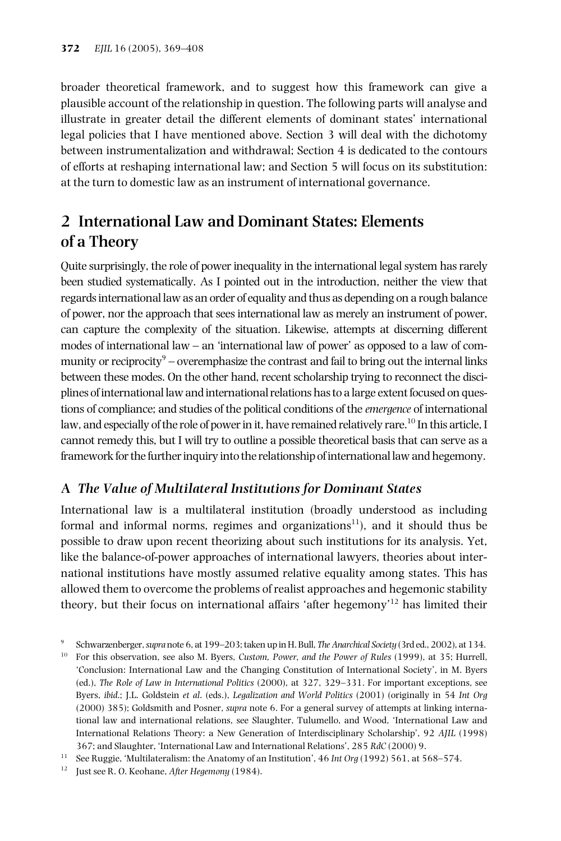broader theoretical framework, and to suggest how this framework can give a plausible account of the relationship in question. The following parts will analyse and illustrate in greater detail the different elements of dominant states' international legal policies that I have mentioned above. Section 3 will deal with the dichotomy between instrumentalization and withdrawal; Section 4 is dedicated to the contours of efforts at reshaping international law; and Section 5 will focus on its substitution: at the turn to domestic law as an instrument of international governance.

# **2 International Law and Dominant States: Elements of a Theory**

Quite surprisingly, the role of power inequality in the international legal system has rarely been studied systematically. As I pointed out in the introduction, neither the view that regards international law as an order of equality and thus as depending on a rough balance of power, nor the approach that sees international law as merely an instrument of power, can capture the complexity of the situation. Likewise, attempts at discerning different modes of international law – an 'international law of power' as opposed to a law of community or reciprocity<sup>9</sup> – overemphasize the contrast and fail to bring out the internal links between these modes. On the other hand, recent scholarship trying to reconnect the disciplines of international law and international relations has to a large extent focused on questions of compliance; and studies of the political conditions of the *emergence* of international law, and especially of the role of power in it, have remained relatively rare.<sup>10</sup> In this article, I cannot remedy this, but I will try to outline a possible theoretical basis that can serve as a framework for the further inquiry into the relationship of international law and hegemony.

### **A** *The Value of Multilateral Institutions for Dominant States*

International law is a multilateral institution (broadly understood as including formal and informal norms, regimes and organizations $11$ ), and it should thus be possible to draw upon recent theorizing about such institutions for its analysis. Yet, like the balance-of-power approaches of international lawyers, theories about international institutions have mostly assumed relative equality among states. This has allowed them to overcome the problems of realist approaches and hegemonic stability theory, but their focus on international affairs 'after hegemony'12 has limited their

<sup>9</sup> Schwarzenberger, *supra* note 6, at 199–203; taken up in H. Bull, *The Anarchical Society* (3rd ed., 2002), at 134.<br><sup>10</sup> For this observation, see also M. Byers, *Custom, Power, and the Power of Rules* (1999), at 35; H 'Conclusion: International Law and the Changing Constitution of International Society', in M. Byers (ed.), *The Role of Law in International Politics* (2000), at 327, 329–331. For important exceptions, see Byers, *ibid*.; J.L. Goldstein *et al*. (eds.), *Legalization and World Politics* (2001) (originally in 54 *Int Org* (2000) 385); Goldsmith and Posner, *supra* note 6. For a general survey of attempts at linking international law and international relations, see Slaughter, Tulumello, and Wood, 'International Law and International Relations Theory: a New Generation of Interdisciplinary Scholarship', 92 *AJIL* (1998)

367; and Slaughter, 'International Law and International Relations', 285 RdC (2000) 9.<br><sup>11</sup> See Ruggie, 'Multilateralism: the Anatomy of an Institution', 46 *Int Org* (1992) 561, at 568–574.<br><sup>12</sup> Just see R. O. Keohane,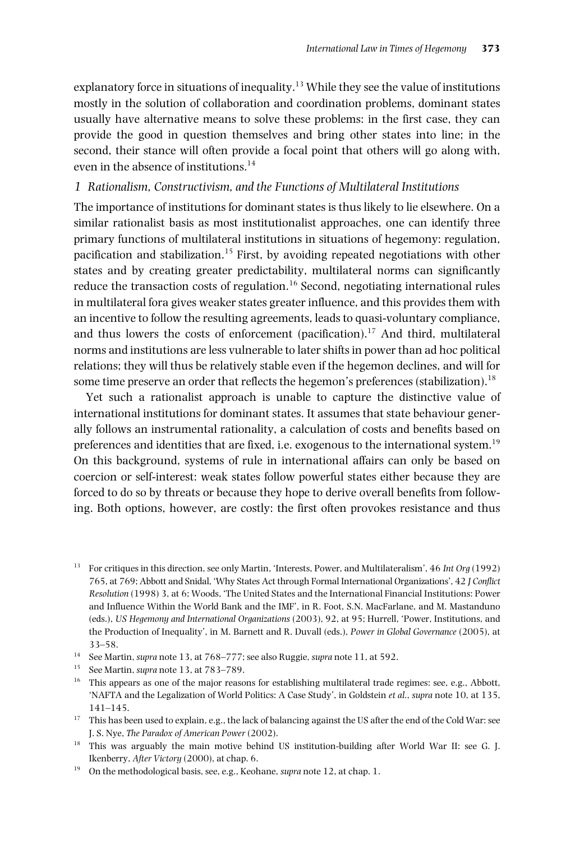explanatory force in situations of inequality.<sup>13</sup> While they see the value of institutions mostly in the solution of collaboration and coordination problems, dominant states usually have alternative means to solve these problems: in the first case, they can provide the good in question themselves and bring other states into line; in the second, their stance will often provide a focal point that others will go along with, even in the absence of institutions. $14$ 

### *1 Rationalism, Constructivism, and the Functions of Multilateral Institutions*

The importance of institutions for dominant states is thus likely to lie elsewhere. On a similar rationalist basis as most institutionalist approaches, one can identify three primary functions of multilateral institutions in situations of hegemony: regulation, pacification and stabilization.15 First, by avoiding repeated negotiations with other states and by creating greater predictability, multilateral norms can significantly reduce the transaction costs of regulation.<sup>16</sup> Second, negotiating international rules in multilateral fora gives weaker states greater influence, and this provides them with an incentive to follow the resulting agreements, leads to quasi-voluntary compliance, and thus lowers the costs of enforcement (pacification).<sup>17</sup> And third, multilateral norms and institutions are less vulnerable to later shifts in power than ad hoc political relations; they will thus be relatively stable even if the hegemon declines, and will for some time preserve an order that reflects the hegemon's preferences (stabilization).<sup>18</sup>

Yet such a rationalist approach is unable to capture the distinctive value of international institutions for dominant states. It assumes that state behaviour generally follows an instrumental rationality, a calculation of costs and benefits based on preferences and identities that are fixed, i.e. exogenous to the international system.19 On this background, systems of rule in international affairs can only be based on coercion or self-interest: weak states follow powerful states either because they are forced to do so by threats or because they hope to derive overall benefits from following. Both options, however, are costly: the first often provokes resistance and thus

<sup>13</sup> For critiques in this direction, see only Martin, 'Interests, Power, and Multilateralism', 46 *Int Org* (1992) 765, at 769; Abbott and Snidal, 'Why States Act through Formal International Organizations', 42 *J Conflict Resolution* (1998) 3, at 6; Woods, 'The United States and the International Financial Institutions: Power and Influence Within the World Bank and the IMF', in R. Foot, S.N. MacFarlane, and M. Mastanduno (eds.), *US Hegemony and International Organizations* (2003), 92, at 95; Hurrell, 'Power, Institutions, and the Production of Inequality', in M. Barnett and R. Duvall (eds.), *Power in Global Governance* (2005), at

<sup>33–58.&</sup>lt;br>
<sup>14</sup> See Martin, *supra* note 13, at 768–777; see also Ruggie, *supra* note 11, at 592.<br>
<sup>15</sup> See Martin, *supra* note 13, at 783–789.<br>
<sup>15</sup> This appears as one of the major reasons for establishing multilateral t 'NAFTA and the Legalization of World Politics: A Case Study', in Goldstein *et al*., *supra* note 10, at 135, 141–145.<br><sup>17</sup> This has been used to explain, e.g., the lack of balancing against the US after the end of the Cold War: see

J. S. Nye, *The Paradox of American Power* (2002). 18 This was arguably the main motive behind US institution-building after World War II: see G. J.

Ikenberry, *After Victory* (2000), at chap. 6.<br><sup>19</sup> On the methodological basis, see, e.g., Keohane, *supra* note 12, at chap. 1.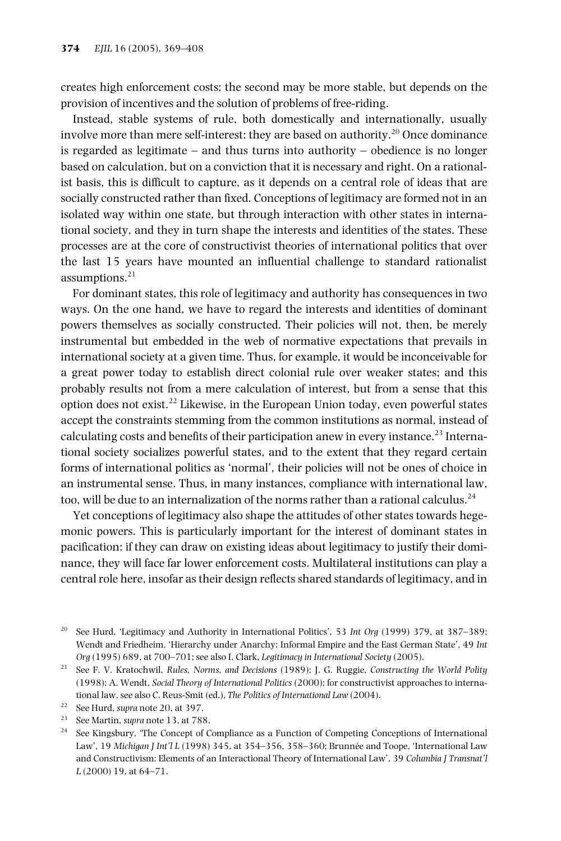creates high enforcement costs; the second may be more stable, but depends on the provision of incentives and the solution of problems of free-riding.

Instead, stable systems of rule, both domestically and internationally, usually involve more than mere self-interest: they are based on authority.<sup>20</sup> Once dominance is regarded as legitimate – and thus turns into authority – obedience is no longer based on calculation, but on a conviction that it is necessary and right. On a rationalist basis, this is difficult to capture, as it depends on a central role of ideas that are socially constructed rather than fixed. Conceptions of legitimacy are formed not in an isolated way within one state, but through interaction with other states in international society, and they in turn shape the interests and identities of the states. These processes are at the core of constructivist theories of international politics that over the last 15 years have mounted an influential challenge to standard rationalist assumptions.<sup>21</sup>

For dominant states, this role of legitimacy and authority has consequences in two ways. On the one hand, we have to regard the interests and identities of dominant powers themselves as socially constructed. Their policies will not, then, be merely instrumental but embedded in the web of normative expectations that prevails in international society at a given time. Thus, for example, it would be inconceivable for a great power today to establish direct colonial rule over weaker states; and this probably results not from a mere calculation of interest, but from a sense that this option does not exist.<sup>22</sup> Likewise, in the European Union today, even powerful states accept the constraints stemming from the common institutions as normal, instead of calculating costs and benefits of their participation anew in every instance.<sup>23</sup> International society socializes powerful states, and to the extent that they regard certain forms of international politics as 'normal', their policies will not be ones of choice in an instrumental sense. Thus, in many instances, compliance with international law, too, will be due to an internalization of the norms rather than a rational calculus.<sup>24</sup>

Yet conceptions of legitimacy also shape the attitudes of other states towards hegemonic powers. This is particularly important for the interest of dominant states in pacification: if they can draw on existing ideas about legitimacy to justify their dominance, they will face far lower enforcement costs. Multilateral institutions can play a central role here, insofar as their design reflects shared standards of legitimacy, and in

<sup>20</sup> See Hurd, 'Legitimacy and Authority in International Politics', 53 *Int Org* (1999) 379, at 387–389; Wendt and Friedheim, 'Hierarchy under Anarchy: Informal Empire and the East German State', 49 *Int Org* (1995) 689, at 700–701; see also I. Clark, *Legitimacy in International Society* (2005). 21 See F. V. Kratochwil, *Rules, Norms, and Decisions* (1989); J. G. Ruggie, *Constructing the World Polity*

<sup>(1998);</sup> A. Wendt, *Social Theory of International Politics* (2000); for constructivist approaches to international law, see also C. Reus-Smit (ed.), *The Politics of International Law* (2004).<br>
<sup>22</sup> See Hurd, *supra* note 20, at 397.<br>
<sup>23</sup> See Martin, *supra* note 13, at 788.<br>
<sup>24</sup> See Kingsbury, 'The Concept of Compliance as a

Law', 19 *Michigan J Int'l L* (1998) 345, at 354–356, 358–360; Brunnée and Toope, 'International Law and Constructivism: Elements of an Interactional Theory of International Law', 39 *Columbia J Transnat'l L* (2000) 19, at 64–71.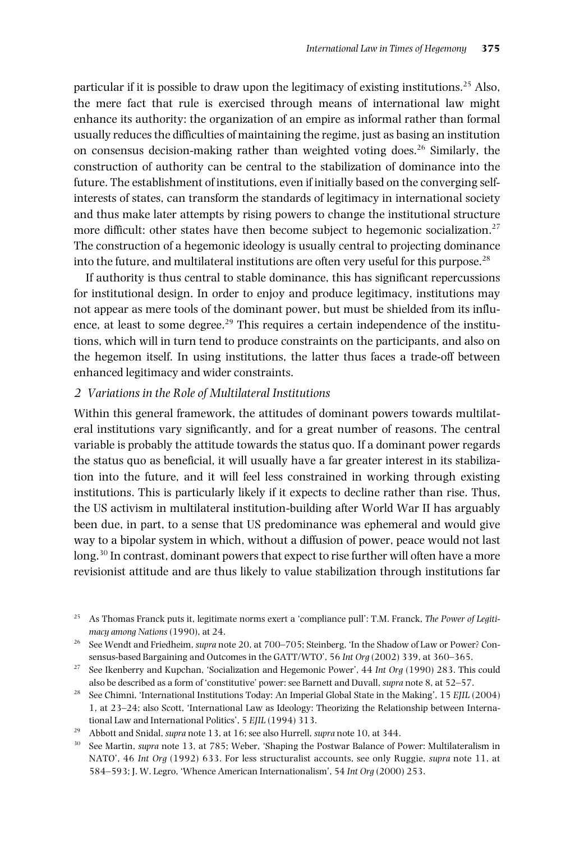particular if it is possible to draw upon the legitimacy of existing institutions.<sup>25</sup> Also, the mere fact that rule is exercised through means of international law might enhance its authority: the organization of an empire as informal rather than formal usually reduces the difficulties of maintaining the regime, just as basing an institution on consensus decision-making rather than weighted voting does.<sup>26</sup> Similarly, the construction of authority can be central to the stabilization of dominance into the future. The establishment of institutions, even if initially based on the converging selfinterests of states, can transform the standards of legitimacy in international society and thus make later attempts by rising powers to change the institutional structure more difficult: other states have then become subject to hegemonic socialization.<sup>27</sup> The construction of a hegemonic ideology is usually central to projecting dominance into the future, and multilateral institutions are often very useful for this purpose.<sup>28</sup>

If authority is thus central to stable dominance, this has significant repercussions for institutional design. In order to enjoy and produce legitimacy, institutions may not appear as mere tools of the dominant power, but must be shielded from its influence, at least to some degree.<sup>29</sup> This requires a certain independence of the institutions, which will in turn tend to produce constraints on the participants, and also on the hegemon itself. In using institutions, the latter thus faces a trade-off between enhanced legitimacy and wider constraints.

### *2 Variations in the Role of Multilateral Institutions*

Within this general framework, the attitudes of dominant powers towards multilateral institutions vary significantly, and for a great number of reasons. The central variable is probably the attitude towards the status quo. If a dominant power regards the status quo as beneficial, it will usually have a far greater interest in its stabilization into the future, and it will feel less constrained in working through existing institutions. This is particularly likely if it expects to decline rather than rise. Thus, the US activism in multilateral institution-building after World War II has arguably been due, in part, to a sense that US predominance was ephemeral and would give way to a bipolar system in which, without a diffusion of power, peace would not last long.<sup>30</sup> In contrast, dominant powers that expect to rise further will often have a more revisionist attitude and are thus likely to value stabilization through institutions far

also be described as a form of 'constitutive' power: see Barnett and Duvall, *supra* note 8, at 52–57. 28 See Chimni, 'International Institutions Today: An Imperial Global State in the Making', 15 *EJIL* (2004) 1, at 23–24; also Scott, 'International Law as Ideology: Theorizing the Relationship between International Law and International Politics', 5 EJIL (1994) 313.<br>
<sup>29</sup> Abbott and Snidal, *supra* note 13, at 16; see also Hurrell, *supra* note 10, at 344.<br>
<sup>30</sup> See Martin, *supra* note 13, at 785; Weber, 'Shaping the Postwar

<sup>25</sup> As Thomas Franck puts it, legitimate norms exert a 'compliance pull': T.M. Franck, *The Power of Legitimacy among Nations* (1990), at 24.<br><sup>26</sup> See Wendt and Friedheim, *supra* note 20, at 700–705; Steinberg, 'In the Shadow of Law or Power? Con-

sensus-based Bargaining and Outcomes in the GATT/WTO', 56 *Int Org* (2002) 339, at 360–365. 27 See Ikenberry and Kupchan, 'Socialization and Hegemonic Power', 44 *Int Org* (1990) 283. This could

NATO', 46 *Int Org* (1992) 633. For less structuralist accounts, see only Ruggie, *supra* note 11, at 584–593; J. W. Legro, 'Whence American Internationalism', 54 *Int Org* (2000) 253.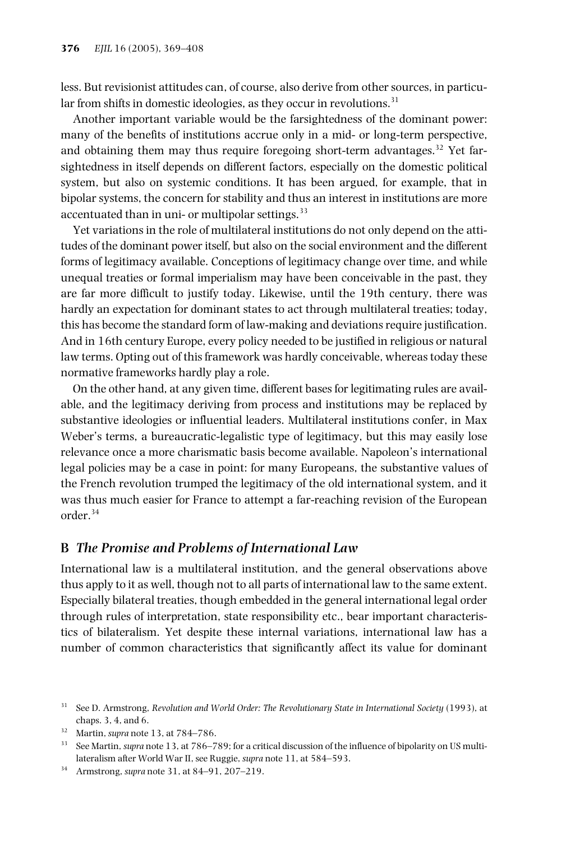less. But revisionist attitudes can, of course, also derive from other sources, in particular from shifts in domestic ideologies, as they occur in revolutions.<sup>31</sup>

Another important variable would be the farsightedness of the dominant power: many of the benefits of institutions accrue only in a mid- or long-term perspective, and obtaining them may thus require foregoing short-term advantages.<sup>32</sup> Yet farsightedness in itself depends on different factors, especially on the domestic political system, but also on systemic conditions. It has been argued, for example, that in bipolar systems, the concern for stability and thus an interest in institutions are more accentuated than in uni- or multipolar settings.<sup>33</sup>

Yet variations in the role of multilateral institutions do not only depend on the attitudes of the dominant power itself, but also on the social environment and the different forms of legitimacy available. Conceptions of legitimacy change over time, and while unequal treaties or formal imperialism may have been conceivable in the past, they are far more difficult to justify today. Likewise, until the 19th century, there was hardly an expectation for dominant states to act through multilateral treaties; today, this has become the standard form of law-making and deviations require justification. And in 16th century Europe, every policy needed to be justified in religious or natural law terms. Opting out of this framework was hardly conceivable, whereas today these normative frameworks hardly play a role.

On the other hand, at any given time, different bases for legitimating rules are available, and the legitimacy deriving from process and institutions may be replaced by substantive ideologies or influential leaders. Multilateral institutions confer, in Max Weber's terms, a bureaucratic-legalistic type of legitimacy, but this may easily lose relevance once a more charismatic basis become available. Napoleon's international legal policies may be a case in point: for many Europeans, the substantive values of the French revolution trumped the legitimacy of the old international system, and it was thus much easier for France to attempt a far-reaching revision of the European order.34

### **B** *The Promise and Problems of International Law*

International law is a multilateral institution, and the general observations above thus apply to it as well, though not to all parts of international law to the same extent. Especially bilateral treaties, though embedded in the general international legal order through rules of interpretation, state responsibility etc., bear important characteristics of bilateralism. Yet despite these internal variations, international law has a number of common characteristics that significantly affect its value for dominant

<sup>31</sup> See D. Armstrong, *Revolution and World Order: The Revolutionary State in International Society* (1993), at chaps. 3, 4, and 6.<br><sup>32</sup> Martin, *supra* note 13, at 784–786.<br><sup>33</sup> See Martin, *supra* note 13, at 786–789; for a critical discussion of the influence of bipolarity on US multi-

lateralism after World War II, see Ruggie, *supra* note 11, at 584–593. 34 Armstrong, *supra* note 31, at 84–91, 207–219.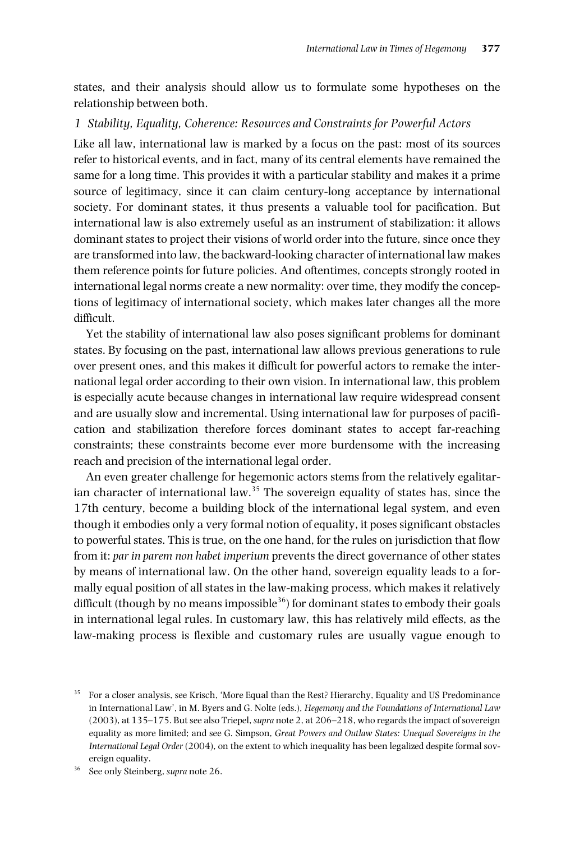states, and their analysis should allow us to formulate some hypotheses on the relationship between both.

#### *1 Stability, Equality, Coherence: Resources and Constraints for Powerful Actors*

Like all law, international law is marked by a focus on the past: most of its sources refer to historical events, and in fact, many of its central elements have remained the same for a long time. This provides it with a particular stability and makes it a prime source of legitimacy, since it can claim century-long acceptance by international society. For dominant states, it thus presents a valuable tool for pacification. But international law is also extremely useful as an instrument of stabilization: it allows dominant states to project their visions of world order into the future, since once they are transformed into law, the backward-looking character of international law makes them reference points for future policies. And oftentimes, concepts strongly rooted in international legal norms create a new normality: over time, they modify the conceptions of legitimacy of international society, which makes later changes all the more difficult.

Yet the stability of international law also poses significant problems for dominant states. By focusing on the past, international law allows previous generations to rule over present ones, and this makes it difficult for powerful actors to remake the international legal order according to their own vision. In international law, this problem is especially acute because changes in international law require widespread consent and are usually slow and incremental. Using international law for purposes of pacification and stabilization therefore forces dominant states to accept far-reaching constraints; these constraints become ever more burdensome with the increasing reach and precision of the international legal order.

An even greater challenge for hegemonic actors stems from the relatively egalitarian character of international law.<sup>35</sup> The sovereign equality of states has, since the 17th century, become a building block of the international legal system, and even though it embodies only a very formal notion of equality, it poses significant obstacles to powerful states. This is true, on the one hand, for the rules on jurisdiction that flow from it: *par in parem non habet imperium* prevents the direct governance of other states by means of international law. On the other hand, sovereign equality leads to a formally equal position of all states in the law-making process, which makes it relatively difficult (though by no means impossible  $36$ ) for dominant states to embody their goals in international legal rules. In customary law, this has relatively mild effects, as the law-making process is flexible and customary rules are usually vague enough to

<sup>35</sup> For a closer analysis, see Krisch, 'More Equal than the Rest? Hierarchy, Equality and US Predominance in International Law', in M. Byers and G. Nolte (eds.), *Hegemony and the Foundations of International Law* (2003), at 135–175. But see also Triepel, *supra* note 2, at 206–218, who regards the impact of sovereign equality as more limited; and see G. Simpson, *Great Powers and Outlaw States: Unequal Sovereigns in the International Legal Order* (2004), on the extent to which inequality has been legalized despite formal sovereign equality. 36 See only Steinberg, *supra* note 26.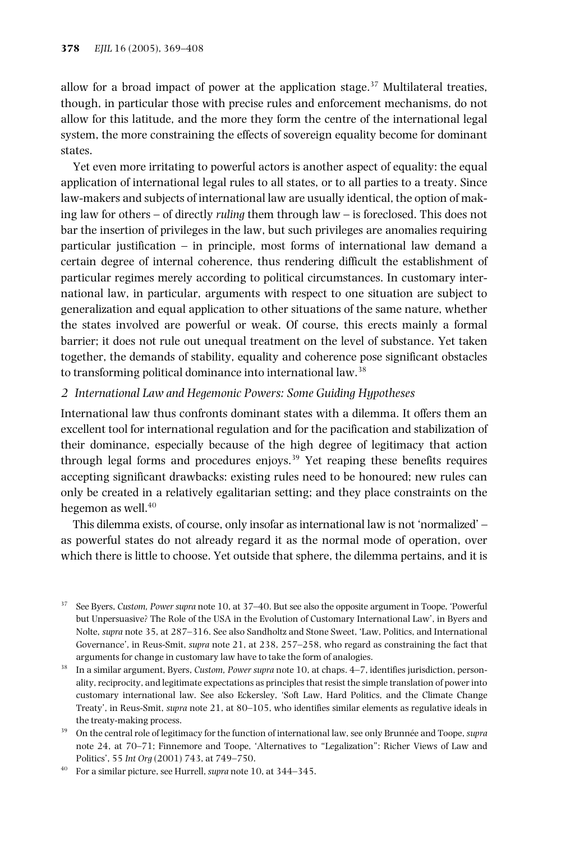allow for a broad impact of power at the application stage.<sup>37</sup> Multilateral treaties, though, in particular those with precise rules and enforcement mechanisms, do not allow for this latitude, and the more they form the centre of the international legal system, the more constraining the effects of sovereign equality become for dominant states.

Yet even more irritating to powerful actors is another aspect of equality: the equal application of international legal rules to all states, or to all parties to a treaty. Since law-makers and subjects of international law are usually identical, the option of making law for others – of directly *ruling* them through law – is foreclosed. This does not bar the insertion of privileges in the law, but such privileges are anomalies requiring particular justification – in principle, most forms of international law demand a certain degree of internal coherence, thus rendering difficult the establishment of particular regimes merely according to political circumstances. In customary international law, in particular, arguments with respect to one situation are subject to generalization and equal application to other situations of the same nature, whether the states involved are powerful or weak. Of course, this erects mainly a formal barrier; it does not rule out unequal treatment on the level of substance. Yet taken together, the demands of stability, equality and coherence pose significant obstacles to transforming political dominance into international law.<sup>38</sup>

#### *2 International Law and Hegemonic Powers: Some Guiding Hypotheses*

International law thus confronts dominant states with a dilemma. It offers them an excellent tool for international regulation and for the pacification and stabilization of their dominance, especially because of the high degree of legitimacy that action through legal forms and procedures enjoys.<sup>39</sup> Yet reaping these benefits requires accepting significant drawbacks: existing rules need to be honoured; new rules can only be created in a relatively egalitarian setting; and they place constraints on the hegemon as well. $40$ 

This dilemma exists, of course, only insofar as international law is not 'normalized' – as powerful states do not already regard it as the normal mode of operation, over which there is little to choose. Yet outside that sphere, the dilemma pertains, and it is

<sup>&</sup>lt;sup>37</sup> See Byers, *Custom, Power supra* note 10, at 37–40. But see also the opposite argument in Toope, 'Powerful but Unpersuasive? The Role of the USA in the Evolution of Customary International Law', in Byers and Nolte, *supra* note 35, at 287–316. See also Sandholtz and Stone Sweet, 'Law, Politics, and International Governance', in Reus-Smit, *supra* note 21, at 238, 257–258, who regard as constraining the fact that arguments for change in customary law have to take the form of analogies.<br><sup>38</sup> In a similar argument, Byers, *Custom, Power supra* note 10, at chaps. 4–7, identifies jurisdiction, person-

ality, reciprocity, and legitimate expectations as principles that resist the simple translation of power into customary international law. See also Eckersley, 'Soft Law, Hard Politics, and the Climate Change Treaty', in Reus-Smit, *supra* note 21, at 80–105, who identifies similar elements as regulative ideals in

the treaty-making process. 39 On the central role of legitimacy for the function of international law, see only Brunnée and Toope, *supra* note 24, at 70–71; Finnemore and Toope, 'Alternatives to "Legalization": Richer Views of Law and Politics', 55 *Int Org* (2001) 743, at 749–750. 40 For a similar picture, see Hurrell, *supra* note 10, at 344–345.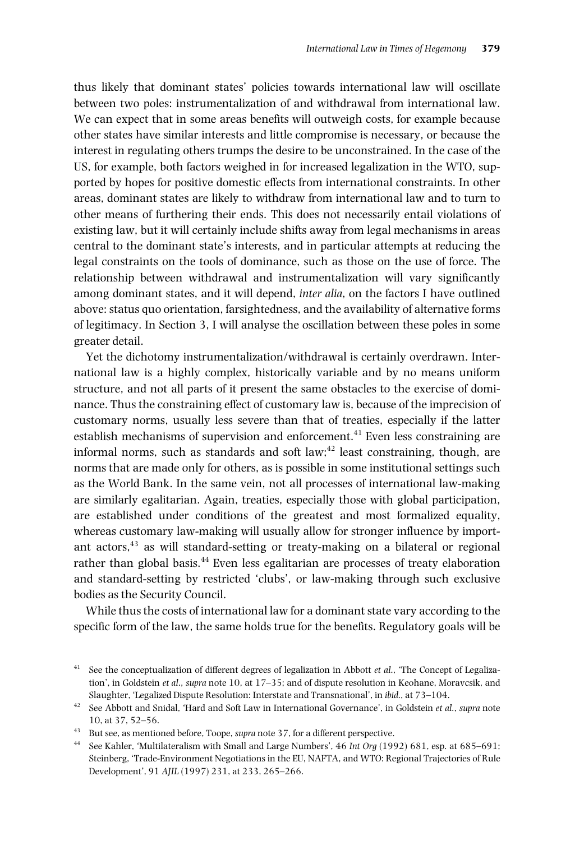thus likely that dominant states' policies towards international law will oscillate between two poles: instrumentalization of and withdrawal from international law. We can expect that in some areas benefits will outweigh costs, for example because other states have similar interests and little compromise is necessary, or because the interest in regulating others trumps the desire to be unconstrained. In the case of the US, for example, both factors weighed in for increased legalization in the WTO, supported by hopes for positive domestic effects from international constraints. In other areas, dominant states are likely to withdraw from international law and to turn to other means of furthering their ends. This does not necessarily entail violations of existing law, but it will certainly include shifts away from legal mechanisms in areas central to the dominant state's interests, and in particular attempts at reducing the legal constraints on the tools of dominance, such as those on the use of force. The relationship between withdrawal and instrumentalization will vary significantly among dominant states, and it will depend, *inter alia*, on the factors I have outlined above: status quo orientation, farsightedness, and the availability of alternative forms of legitimacy. In Section 3, I will analyse the oscillation between these poles in some greater detail.

Yet the dichotomy instrumentalization/withdrawal is certainly overdrawn. International law is a highly complex, historically variable and by no means uniform structure, and not all parts of it present the same obstacles to the exercise of dominance. Thus the constraining effect of customary law is, because of the imprecision of customary norms, usually less severe than that of treaties, especially if the latter establish mechanisms of supervision and enforcement. $41$  Even less constraining are informal norms, such as standards and soft law; $42$  least constraining, though, are norms that are made only for others, as is possible in some institutional settings such as the World Bank. In the same vein, not all processes of international law-making are similarly egalitarian. Again, treaties, especially those with global participation, are established under conditions of the greatest and most formalized equality, whereas customary law-making will usually allow for stronger influence by important actors,<sup>43</sup> as will standard-setting or treaty-making on a bilateral or regional rather than global basis.<sup>44</sup> Even less egalitarian are processes of treaty elaboration and standard-setting by restricted 'clubs', or law-making through such exclusive bodies as the Security Council.

While thus the costs of international law for a dominant state vary according to the specific form of the law, the same holds true for the benefits. Regulatory goals will be

<sup>41</sup> See the conceptualization of different degrees of legalization in Abbott *et al*., 'The Concept of Legalization', in Goldstein *et al*., *supra* note 10, at 17–35; and of dispute resolution in Keohane, Moravcsik, and

Slaughter, 'Legalized Dispute Resolution: Interstate and Transnational', in *ibid*., at 73–104. 42 See Abbott and Snidal, 'Hard and Soft Law in International Governance', in Goldstein *et al*., *supra* note 10, at 37, 52–56. 43 But see, as mentioned before, Toope, *supra* note 37, for a different perspective. 44 See Kahler, 'Multilateralism with Small and Large Numbers', 46 *Int Org* (1992) 681, esp. at 685–691;

Steinberg, 'Trade-Environment Negotiations in the EU, NAFTA, and WTO: Regional Trajectories of Rule Development', 91 *AJIL* (1997) 231, at 233, 265–266.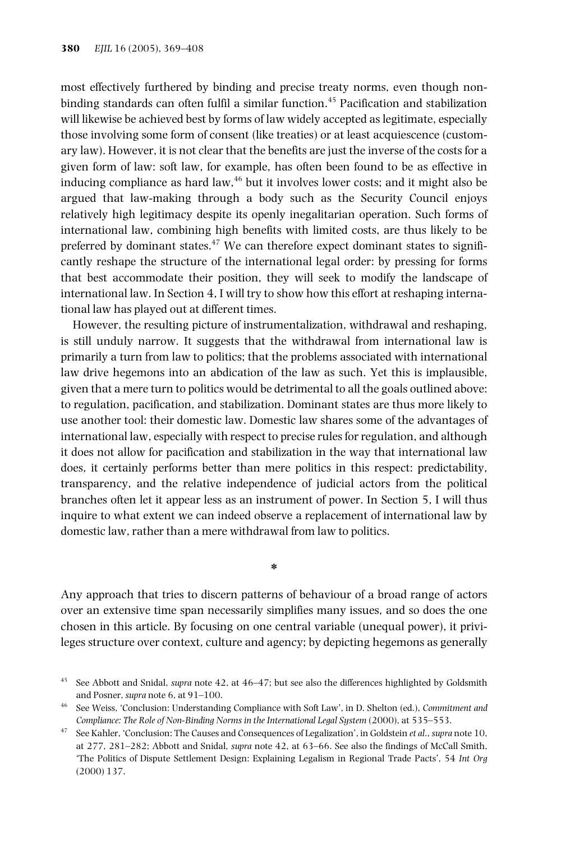most effectively furthered by binding and precise treaty norms, even though nonbinding standards can often fulfil a similar function.<sup>45</sup> Pacification and stabilization will likewise be achieved best by forms of law widely accepted as legitimate, especially those involving some form of consent (like treaties) or at least acquiescence (customary law). However, it is not clear that the benefits are just the inverse of the costs for a given form of law: soft law, for example, has often been found to be as effective in inducing compliance as hard law, $46$  but it involves lower costs; and it might also be argued that law-making through a body such as the Security Council enjoys relatively high legitimacy despite its openly inegalitarian operation. Such forms of international law, combining high benefits with limited costs, are thus likely to be preferred by dominant states. $47$  We can therefore expect dominant states to significantly reshape the structure of the international legal order: by pressing for forms that best accommodate their position, they will seek to modify the landscape of international law. In Section 4, I will try to show how this effort at reshaping international law has played out at different times.

However, the resulting picture of instrumentalization, withdrawal and reshaping, is still unduly narrow. It suggests that the withdrawal from international law is primarily a turn from law to politics; that the problems associated with international law drive hegemons into an abdication of the law as such. Yet this is implausible, given that a mere turn to politics would be detrimental to all the goals outlined above: to regulation, pacification, and stabilization. Dominant states are thus more likely to use another tool: their domestic law. Domestic law shares some of the advantages of international law, especially with respect to precise rules for regulation, and although it does not allow for pacification and stabilization in the way that international law does, it certainly performs better than mere politics in this respect: predictability, transparency, and the relative independence of judicial actors from the political branches often let it appear less as an instrument of power. In Section 5, I will thus inquire to what extent we can indeed observe a replacement of international law by domestic law, rather than a mere withdrawal from law to politics.

Any approach that tries to discern patterns of behaviour of a broad range of actors over an extensive time span necessarily simplifies many issues, and so does the one chosen in this article. By focusing on one central variable (unequal power), it privileges structure over context, culture and agency; by depicting hegemons as generally

**\***

<sup>45</sup> See Abbott and Snidal, *supra* note 42, at 46–47; but see also the differences highlighted by Goldsmith and Posner, *supra* note 6, at 91–100.<br><sup>46</sup> See Weiss, 'Conclusion: Understanding Compliance with Soft Law', in D. Shelton (ed.), *Commitment and* 

Compliance: The Role of Non-Binding Norms in the International Legal System (2000), at 535–553.<br><sup>47</sup> See Kahler, 'Conclusion: The Causes and Consequences of Legalization', in Goldstein *et al.*, *supra* note 10, at 277, 281–282; Abbott and Snidal, *supra* note 42, at 63–66. See also the findings of McCall Smith, 'The Politics of Dispute Settlement Design: Explaining Legalism in Regional Trade Pacts', 54 *Int Org* (2000) 137.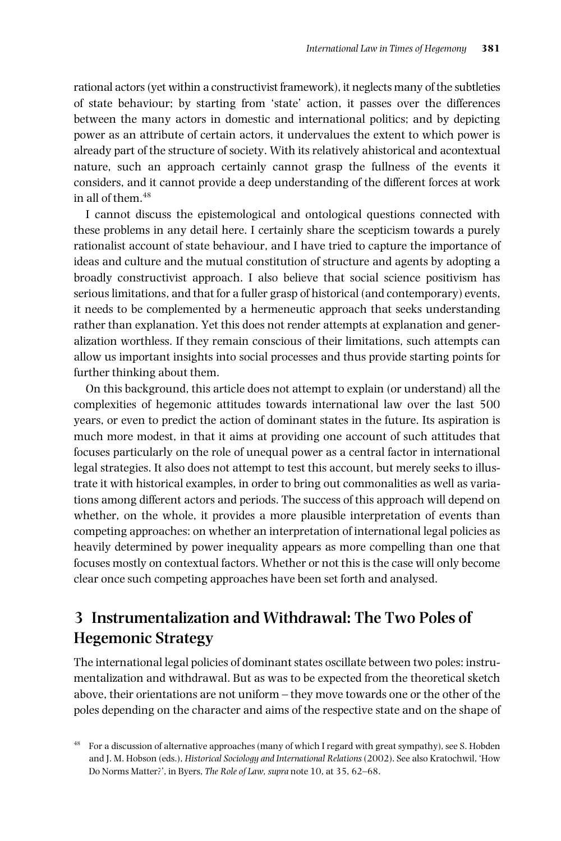rational actors (yet within a constructivist framework), it neglects many of the subtleties of state behaviour; by starting from 'state' action, it passes over the differences between the many actors in domestic and international politics; and by depicting power as an attribute of certain actors, it undervalues the extent to which power is already part of the structure of society. With its relatively ahistorical and acontextual nature, such an approach certainly cannot grasp the fullness of the events it considers, and it cannot provide a deep understanding of the different forces at work in all of them. $48$ 

I cannot discuss the epistemological and ontological questions connected with these problems in any detail here. I certainly share the scepticism towards a purely rationalist account of state behaviour, and I have tried to capture the importance of ideas and culture and the mutual constitution of structure and agents by adopting a broadly constructivist approach. I also believe that social science positivism has serious limitations, and that for a fuller grasp of historical (and contemporary) events, it needs to be complemented by a hermeneutic approach that seeks understanding rather than explanation. Yet this does not render attempts at explanation and generalization worthless. If they remain conscious of their limitations, such attempts can allow us important insights into social processes and thus provide starting points for further thinking about them.

On this background, this article does not attempt to explain (or understand) all the complexities of hegemonic attitudes towards international law over the last 500 years, or even to predict the action of dominant states in the future. Its aspiration is much more modest, in that it aims at providing one account of such attitudes that focuses particularly on the role of unequal power as a central factor in international legal strategies. It also does not attempt to test this account, but merely seeks to illustrate it with historical examples, in order to bring out commonalities as well as variations among different actors and periods. The success of this approach will depend on whether, on the whole, it provides a more plausible interpretation of events than competing approaches: on whether an interpretation of international legal policies as heavily determined by power inequality appears as more compelling than one that focuses mostly on contextual factors. Whether or not this is the case will only become clear once such competing approaches have been set forth and analysed.

# **3 Instrumentalization and Withdrawal: The Two Poles of Hegemonic Strategy**

The international legal policies of dominant states oscillate between two poles: instrumentalization and withdrawal. But as was to be expected from the theoretical sketch above, their orientations are not uniform – they move towards one or the other of the poles depending on the character and aims of the respective state and on the shape of

<sup>48</sup> For a discussion of alternative approaches (many of which I regard with great sympathy), see S. Hobden and J. M. Hobson (eds.), *Historical Sociology and International Relations* (2002). See also Kratochwil, 'How Do Norms Matter?', in Byers, *The Role of Law, supra* note 10, at 35, 62–68.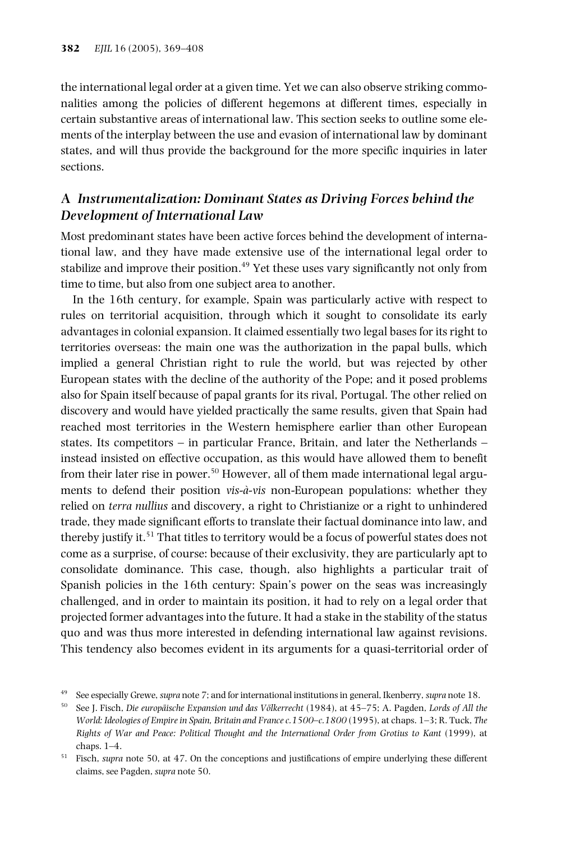the international legal order at a given time. Yet we can also observe striking commonalities among the policies of different hegemons at different times, especially in certain substantive areas of international law. This section seeks to outline some elements of the interplay between the use and evasion of international law by dominant states, and will thus provide the background for the more specific inquiries in later sections.

### **A** *Instrumentalization: Dominant States as Driving Forces behind the Development of International Law*

Most predominant states have been active forces behind the development of international law, and they have made extensive use of the international legal order to stabilize and improve their position.<sup>49</sup> Yet these uses vary significantly not only from time to time, but also from one subject area to another.

In the 16th century, for example, Spain was particularly active with respect to rules on territorial acquisition, through which it sought to consolidate its early advantages in colonial expansion. It claimed essentially two legal bases for its right to territories overseas: the main one was the authorization in the papal bulls, which implied a general Christian right to rule the world, but was rejected by other European states with the decline of the authority of the Pope; and it posed problems also for Spain itself because of papal grants for its rival, Portugal. The other relied on discovery and would have yielded practically the same results, given that Spain had reached most territories in the Western hemisphere earlier than other European states. Its competitors – in particular France, Britain, and later the Netherlands – instead insisted on effective occupation, as this would have allowed them to benefit from their later rise in power.<sup>50</sup> However, all of them made international legal arguments to defend their position *vis-à-vis* non-European populations: whether they relied on *terra nullius* and discovery, a right to Christianize or a right to unhindered trade, they made significant efforts to translate their factual dominance into law, and thereby justify it.<sup>51</sup> That titles to territory would be a focus of powerful states does not come as a surprise, of course: because of their exclusivity, they are particularly apt to consolidate dominance. This case, though, also highlights a particular trait of Spanish policies in the 16th century: Spain's power on the seas was increasingly challenged, and in order to maintain its position, it had to rely on a legal order that projected former advantages into the future. It had a stake in the stability of the status quo and was thus more interested in defending international law against revisions. This tendency also becomes evident in its arguments for a quasi-territorial order of

See especially Grewe, supra note 7; and for international institutions in general, Ikenberry, supra note 18.<br>See J. Fisch, Die europäische Expansion und das Völkerrecht (1984), at 45–75; A. Pagden, Lords of All the

*World: Ideologies of Empire in Spain, Britain and France c.1500–c.1800* (1995), at chaps. 1–3; R. Tuck, *The Rights of War and Peace: Political Thought and the International Order from Grotius to Kant* (1999), at chaps. 1–4. 51 Fisch, *supra* note 50, at 47. On the conceptions and justifications of empire underlying these different

claims, see Pagden, *supra* note 50.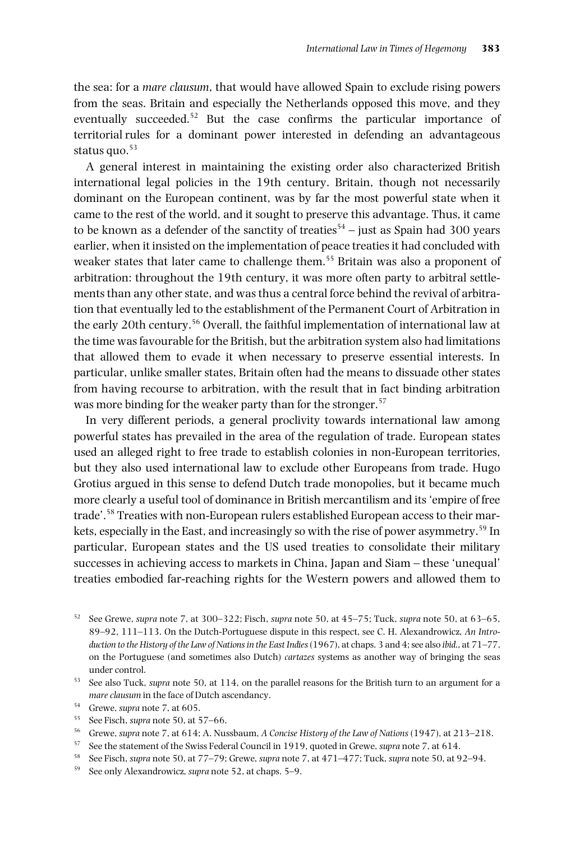the sea: for a *mare clausum*, that would have allowed Spain to exclude rising powers from the seas. Britain and especially the Netherlands opposed this move, and they eventually succeeded.<sup>52</sup> But the case confirms the particular importance of territorial rules for a dominant power interested in defending an advantageous status quo. $53$ 

A general interest in maintaining the existing order also characterized British international legal policies in the 19th century. Britain, though not necessarily dominant on the European continent, was by far the most powerful state when it came to the rest of the world, and it sought to preserve this advantage. Thus, it came to be known as a defender of the sanctity of treaties<sup>54</sup> – just as Spain had 300 years earlier, when it insisted on the implementation of peace treaties it had concluded with weaker states that later came to challenge them.<sup>55</sup> Britain was also a proponent of arbitration: throughout the 19th century, it was more often party to arbitral settlements than any other state, and was thus a central force behind the revival of arbitration that eventually led to the establishment of the Permanent Court of Arbitration in the early 20th century.56 Overall, the faithful implementation of international law at the time was favourable for the British, but the arbitration system also had limitations that allowed them to evade it when necessary to preserve essential interests. In particular, unlike smaller states, Britain often had the means to dissuade other states from having recourse to arbitration, with the result that in fact binding arbitration was more binding for the weaker party than for the stronger.<sup>57</sup>

In very different periods, a general proclivity towards international law among powerful states has prevailed in the area of the regulation of trade. European states used an alleged right to free trade to establish colonies in non-European territories, but they also used international law to exclude other Europeans from trade. Hugo Grotius argued in this sense to defend Dutch trade monopolies, but it became much more clearly a useful tool of dominance in British mercantilism and its 'empire of free trade'.58 Treaties with non-European rulers established European access to their markets, especially in the East, and increasingly so with the rise of power asymmetry.<sup>59</sup> In particular, European states and the US used treaties to consolidate their military successes in achieving access to markets in China, Japan and Siam – these 'unequal' treaties embodied far-reaching rights for the Western powers and allowed them to

- <sup>52</sup> See Grewe, *supra* note 7, at 300–322; Fisch, *supra* note 50, at 45–75; Tuck, *supra* note 50, at 63–65, 89–92, 111–113. On the Dutch-Portuguese dispute in this respect, see C. H. Alexandrowicz, *An Introduction to the History of the Law of Nations in the East Indies* (1967), at chaps. 3 and 4; see also *ibid*., at 71–77, on the Portuguese (and sometimes also Dutch) *cartazes* systems as another way of bringing the seas under control. 53 See also Tuck, *supra* note 50, at 114, on the parallel reasons for the British turn to an argument for a
- mare clausum in the face of Dutch ascendancy.<br>
<sup>54</sup> Grewe, supra note 7, at 605.<br>
<sup>55</sup> See Fisch, supra note 50, at 57–66.<br>
<sup>56</sup> Grewe, supra note 7, at 614; A. Nussbaum, *A Concise History of the Law of Nations* (1947),
- 
- 
- 
- 
- 
-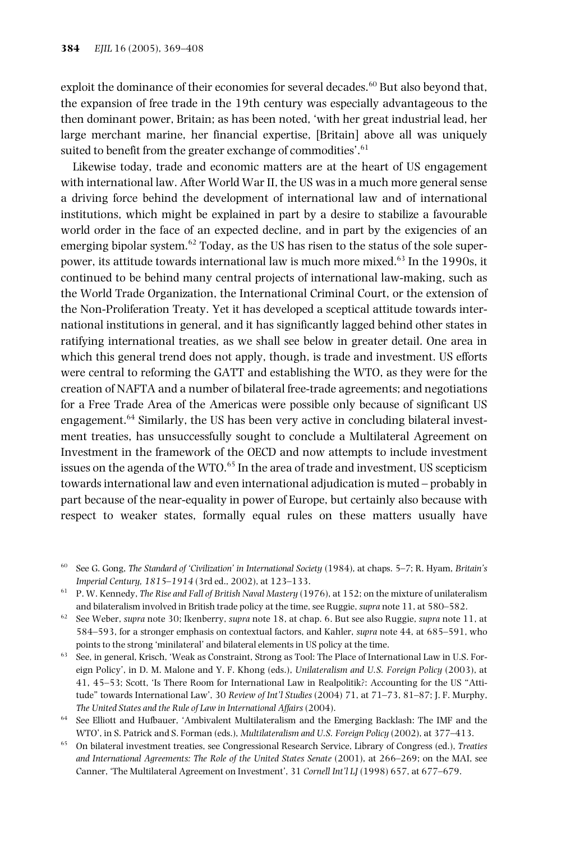exploit the dominance of their economies for several decades.<sup>60</sup> But also beyond that, the expansion of free trade in the 19th century was especially advantageous to the then dominant power, Britain; as has been noted, 'with her great industrial lead, her large merchant marine, her financial expertise, [Britain] above all was uniquely suited to benefit from the greater exchange of commodities'.<sup>61</sup>

Likewise today, trade and economic matters are at the heart of US engagement with international law. After World War II, the US was in a much more general sense a driving force behind the development of international law and of international institutions, which might be explained in part by a desire to stabilize a favourable world order in the face of an expected decline, and in part by the exigencies of an emerging bipolar system.<sup>62</sup> Today, as the US has risen to the status of the sole superpower, its attitude towards international law is much more mixed.<sup>63</sup> In the 1990s, it continued to be behind many central projects of international law-making, such as the World Trade Organization, the International Criminal Court, or the extension of the Non-Proliferation Treaty. Yet it has developed a sceptical attitude towards international institutions in general, and it has significantly lagged behind other states in ratifying international treaties, as we shall see below in greater detail. One area in which this general trend does not apply, though, is trade and investment. US efforts were central to reforming the GATT and establishing the WTO, as they were for the creation of NAFTA and a number of bilateral free-trade agreements; and negotiations for a Free Trade Area of the Americas were possible only because of significant US engagement.64 Similarly, the US has been very active in concluding bilateral investment treaties, has unsuccessfully sought to conclude a Multilateral Agreement on Investment in the framework of the OECD and now attempts to include investment issues on the agenda of the WTO.<sup>65</sup> In the area of trade and investment, US scepticism towards international law and even international adjudication is muted – probably in part because of the near-equality in power of Europe, but certainly also because with respect to weaker states, formally equal rules on these matters usually have

<sup>60</sup> See G. Gong, *The Standard of 'Civilization' in International Society* (1984), at chaps. 5–7; R. Hyam, *Britain's Imperial Century, 1815–1914* (3rd ed., 2002), at 123–133.<br><sup>61</sup> P. W. Kennedy, *The Rise and Fall of British Naval Mastery* (1976), at 152; on the mixture of unilateralism

and bilateralism involved in British trade policy at the time, see Ruggie, *supra* note 11, at 580–582.<br><sup>62</sup> See Weber, *supra* note 30; Ikenberry, *supra* note 18, at chap. 6. But see also Ruggie, *supra* note 11, at

<sup>584–593,</sup> for a stronger emphasis on contextual factors, and Kahler, *supra* note 44, at 685–591, who

points to the strong 'minilateral' and bilateral elements in US policy at the time.<br> $63$  See, in general, Krisch, 'Weak as Constraint, Strong as Tool: The Place of International Law in U.S. Foreign Policy', in D. M. Malone and Y. F. Khong (eds.), *Unilateralism and U.S. Foreign Policy* (2003), at 41, 45–53; Scott, 'Is There Room for International Law in Realpolitik?: Accounting for the US "Attitude" towards International Law', 30 *Review of Int'l Studies* (2004) 71, at 71–73, 81–87; J. F. Murphy, *The United States and the Rule of Law in International Affairs* (2004). 64 See Elliott and Hufbauer, 'Ambivalent Multilateralism and the Emerging Backlash: The IMF and the

WTO', in S. Patrick and S. Forman (eds.), *Multilateralism and U.S. Foreign Policy* (2002), at 377–413. 65 On bilateral investment treaties, see Congressional Research Service, Library of Congress (ed.), *Treaties*

*and International Agreements: The Role of the United States Senate* (2001), at 266–269; on the MAI, see Canner, 'The Multilateral Agreement on Investment', 31 *Cornell Int'l LJ* (1998) 657, at 677–679.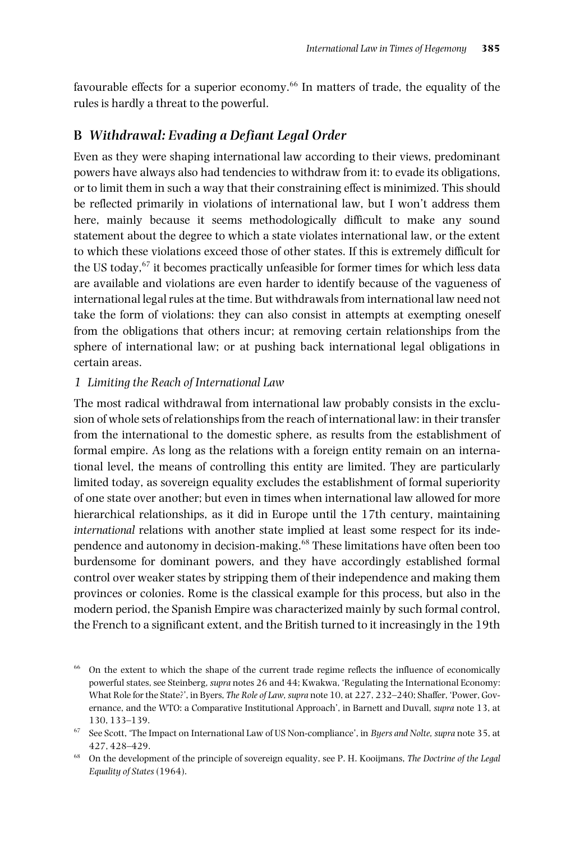favourable effects for a superior economy.<sup>66</sup> In matters of trade, the equality of the rules is hardly a threat to the powerful.

### **B** *Withdrawal: Evading a Defiant Legal Order*

Even as they were shaping international law according to their views, predominant powers have always also had tendencies to withdraw from it: to evade its obligations, or to limit them in such a way that their constraining effect is minimized. This should be reflected primarily in violations of international law, but I won't address them here, mainly because it seems methodologically difficult to make any sound statement about the degree to which a state violates international law, or the extent to which these violations exceed those of other states. If this is extremely difficult for the US today, $67$  it becomes practically unfeasible for former times for which less data are available and violations are even harder to identify because of the vagueness of international legal rules at the time. But withdrawals from international law need not take the form of violations: they can also consist in attempts at exempting oneself from the obligations that others incur; at removing certain relationships from the sphere of international law; or at pushing back international legal obligations in certain areas.

### *1 Limiting the Reach of International Law*

The most radical withdrawal from international law probably consists in the exclusion of whole sets of relationships from the reach of international law: in their transfer from the international to the domestic sphere, as results from the establishment of formal empire. As long as the relations with a foreign entity remain on an international level, the means of controlling this entity are limited. They are particularly limited today, as sovereign equality excludes the establishment of formal superiority of one state over another; but even in times when international law allowed for more hierarchical relationships, as it did in Europe until the 17th century, maintaining *international* relations with another state implied at least some respect for its independence and autonomy in decision-making.68 These limitations have often been too burdensome for dominant powers, and they have accordingly established formal control over weaker states by stripping them of their independence and making them provinces or colonies. Rome is the classical example for this process, but also in the modern period, the Spanish Empire was characterized mainly by such formal control, the French to a significant extent, and the British turned to it increasingly in the 19th

<sup>66</sup> On the extent to which the shape of the current trade regime reflects the influence of economically powerful states, see Steinberg, *supra* notes 26 and 44; Kwakwa, 'Regulating the International Economy: What Role for the State?', in Byers, *The Role of Law, supra* note 10, at 227, 232–240; Shaffer, 'Power, Governance, and the WTO: a Comparative Institutional Approach', in Barnett and Duvall, *supra* note 13, at

<sup>130, 133–139. 67</sup> See Scott, 'The Impact on International Law of US Non-compliance', in *Byers and Nolte, supra* note 35, at

<sup>427, 428–429. 68</sup> On the development of the principle of sovereign equality, see P. H. Kooijmans, *The Doctrine of the Legal Equality of States* (1964).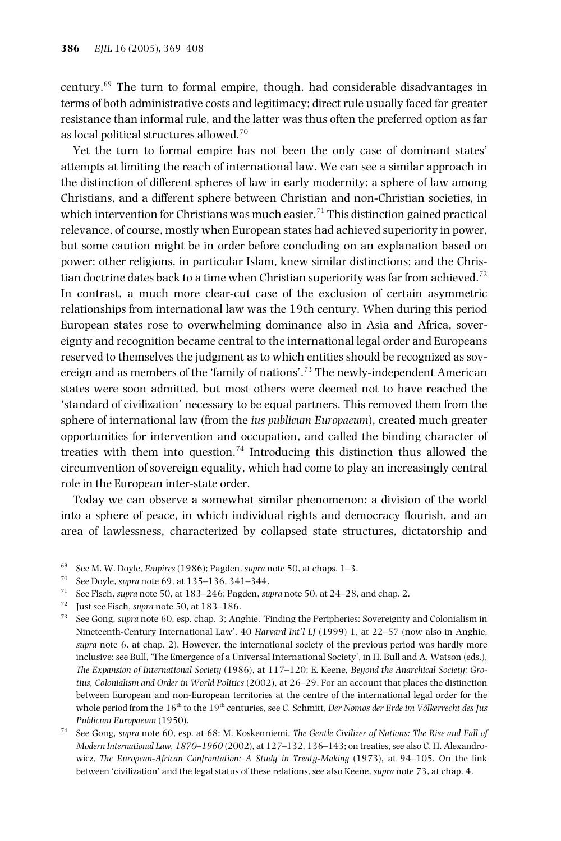century.69 The turn to formal empire, though, had considerable disadvantages in terms of both administrative costs and legitimacy; direct rule usually faced far greater resistance than informal rule, and the latter was thus often the preferred option as far as local political structures allowed.70

Yet the turn to formal empire has not been the only case of dominant states' attempts at limiting the reach of international law. We can see a similar approach in the distinction of different spheres of law in early modernity: a sphere of law among Christians, and a different sphere between Christian and non-Christian societies, in which intervention for Christians was much easier.<sup>71</sup> This distinction gained practical relevance, of course, mostly when European states had achieved superiority in power, but some caution might be in order before concluding on an explanation based on power: other religions, in particular Islam, knew similar distinctions; and the Christian doctrine dates back to a time when Christian superiority was far from achieved.<sup>72</sup> In contrast, a much more clear-cut case of the exclusion of certain asymmetric relationships from international law was the 19th century. When during this period European states rose to overwhelming dominance also in Asia and Africa, sovereignty and recognition became central to the international legal order and Europeans reserved to themselves the judgment as to which entities should be recognized as sovereign and as members of the 'family of nations'.73 The newly-independent American states were soon admitted, but most others were deemed not to have reached the 'standard of civilization' necessary to be equal partners. This removed them from the sphere of international law (from the *ius publicum Europaeum*), created much greater opportunities for intervention and occupation, and called the binding character of treaties with them into question.<sup>74</sup> Introducing this distinction thus allowed the circumvention of sovereign equality, which had come to play an increasingly central role in the European inter-state order.

Today we can observe a somewhat similar phenomenon: a division of the world into a sphere of peace, in which individual rights and democracy flourish, and an area of lawlessness, characterized by collapsed state structures, dictatorship and

- <sup>69</sup> See M. W. Doyle, *Empires* (1986); Pagden, *supra* note 50, at chaps. 1–3.<br><sup>70</sup> See Doyle, *supra* note 69, at 135–136, 341–344.<br><sup>71</sup> See Fisch, *supra* note 50, at 183–246; Pagden, *supra* note 50, at 24–28, and cha Nineteenth-Century International Law', 40 *Harvard Int'l LJ* (1999) 1, at 22–57 (now also in Anghie, *supra* note 6, at chap. 2). However, the international society of the previous period was hardly more inclusive: see Bull, 'The Emergence of a Universal International Society', in H. Bull and A. Watson (eds.), *The Expansion of International Society* (1986), at 117–120; E. Keene, *Beyond the Anarchical Society: Grotius, Colonialism and Order in World Politics* (2002), at 26–29. For an account that places the distinction between European and non-European territories at the centre of the international legal order for the whole period from the 16<sup>th</sup> to the 19<sup>th</sup> centuries, see C. Schmitt, *Der Nomos der Erde im Völkerrecht des Jus*
- *Publicum Europaeum* (1950). 74 See Gong, *supra* note 60, esp. at 68; M. Koskenniemi, *The Gentle Civilizer of Nations: The Rise and Fall of Modern International Law, 1870–1960* (2002), at 127–132, 136–143; on treaties, see also C. H. Alexandrowicz, *The European-African Confrontation: A Study in Treaty-Making* (1973), at 94–105. On the link between 'civilization' and the legal status of these relations, see also Keene, *supra* note 73, at chap. 4.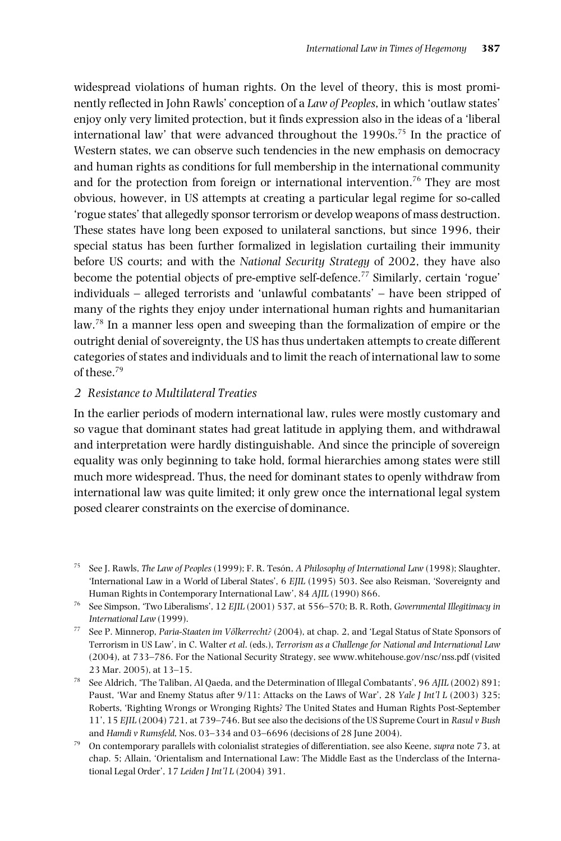widespread violations of human rights. On the level of theory, this is most prominently reflected in John Rawls' conception of a *Law of Peoples*, in which 'outlaw states' enjoy only very limited protection, but it finds expression also in the ideas of a 'liberal international law' that were advanced throughout the 1990s.75 In the practice of Western states, we can observe such tendencies in the new emphasis on democracy and human rights as conditions for full membership in the international community and for the protection from foreign or international intervention.<sup>76</sup> They are most obvious, however, in US attempts at creating a particular legal regime for so-called 'rogue states' that allegedly sponsor terrorism or develop weapons of mass destruction. These states have long been exposed to unilateral sanctions, but since 1996, their special status has been further formalized in legislation curtailing their immunity before US courts; and with the *National Security Strategy* of 2002, they have also become the potential objects of pre-emptive self-defence.<sup>77</sup> Similarly, certain 'rogue' individuals – alleged terrorists and 'unlawful combatants' – have been stripped of many of the rights they enjoy under international human rights and humanitarian law.78 In a manner less open and sweeping than the formalization of empire or the outright denial of sovereignty, the US has thus undertaken attempts to create different categories of states and individuals and to limit the reach of international law to some of these.79

#### *2 Resistance to Multilateral Treaties*

In the earlier periods of modern international law, rules were mostly customary and so vague that dominant states had great latitude in applying them, and withdrawal and interpretation were hardly distinguishable. And since the principle of sovereign equality was only beginning to take hold, formal hierarchies among states were still much more widespread. Thus, the need for dominant states to openly withdraw from international law was quite limited; it only grew once the international legal system posed clearer constraints on the exercise of dominance.

<sup>75</sup> See J. Rawls, *The Law of Peoples* (1999); F. R. Tesón, *A Philosophy of International Law* (1998); Slaughter, 'International Law in a World of Liberal States', 6 *EJIL* (1995) 503. See also Reisman, 'Sovereignty and Human Rights in Contemporary International Law', 84 *AJIL* (1990) 866.<br><sup>76</sup> See Simpson, 'Two Liberalisms', 12 *EJIL* (2001) 537, at 556–570; B. R. Roth, *Governmental Illegitimacy in* 

*International Law* (1999). 77 See P. Minnerop, *Paria-Staaten im Völkerrecht?* (2004), at chap. 2, and 'Legal Status of State Sponsors of

Terrorism in US Law', in C. Walter *et al*. (eds.), *Terrorism as a Challenge for National and International Law* (2004), at 733–786. For the National Security Strategy, see [www.whitehouse.gov/nsc/nss.pdf \(](www.whitehouse.gov/nsc/nss.pdf)visited

<sup>23</sup> Mar. 2005), at 13–15. 78 See Aldrich, 'The Taliban, Al Qaeda, and the Determination of Illegal Combatants', 96 *AJIL* (2002) 891; Paust, 'War and Enemy Status after 9/11: Attacks on the Laws of War', 28 *Yale J Int'l L* (2003) 325; Roberts, 'Righting Wrongs or Wronging Rights? The United States and Human Rights Post-September 11', 15 *EJIL* (2004) 721, at 739–746. But see also the decisions of the US Supreme Court in *Rasul v Bush*

and *Hamdi v Rumsfeld*, Nos. 03–334 and 03–6696 (decisions of 28 June 2004). 79 On contemporary parallels with colonialist strategies of differentiation, see also Keene, *supra* note 73, at chap. 5; Allain, 'Orientalism and International Law: The Middle East as the Underclass of the International Legal Order', 17 *Leiden J Int'l L* (2004) 391.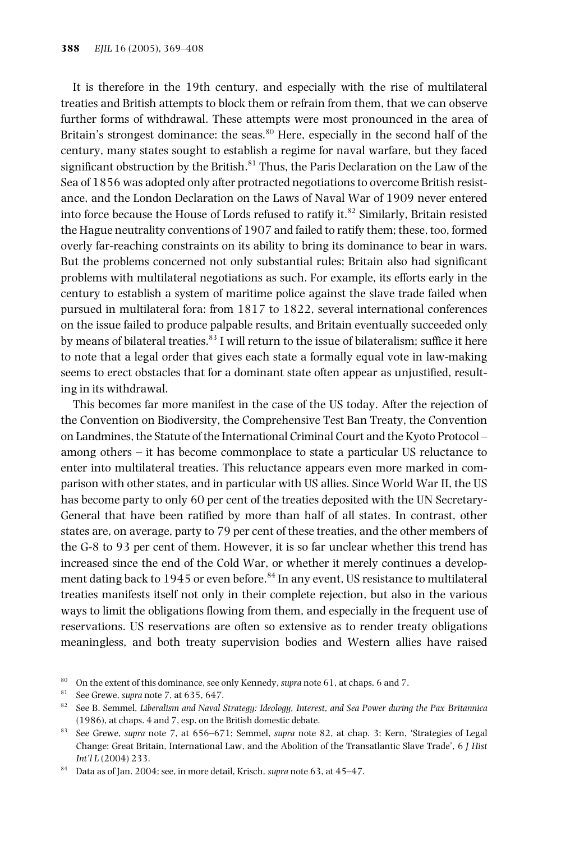It is therefore in the 19th century, and especially with the rise of multilateral treaties and British attempts to block them or refrain from them, that we can observe further forms of withdrawal. These attempts were most pronounced in the area of Britain's strongest dominance: the seas.<sup>80</sup> Here, especially in the second half of the century, many states sought to establish a regime for naval warfare, but they faced significant obstruction by the British.<sup>81</sup> Thus, the Paris Declaration on the Law of the Sea of 1856 was adopted only after protracted negotiations to overcome British resistance, and the London Declaration on the Laws of Naval War of 1909 never entered into force because the House of Lords refused to ratify it.<sup>82</sup> Similarly, Britain resisted the Hague neutrality conventions of 1907 and failed to ratify them; these, too, formed overly far-reaching constraints on its ability to bring its dominance to bear in wars. But the problems concerned not only substantial rules; Britain also had significant problems with multilateral negotiations as such. For example, its efforts early in the century to establish a system of maritime police against the slave trade failed when pursued in multilateral fora: from 1817 to 1822, several international conferences on the issue failed to produce palpable results, and Britain eventually succeeded only by means of bilateral treaties. $83$  I will return to the issue of bilateralism; suffice it here to note that a legal order that gives each state a formally equal vote in law-making seems to erect obstacles that for a dominant state often appear as unjustified, resulting in its withdrawal.

This becomes far more manifest in the case of the US today. After the rejection of the Convention on Biodiversity, the Comprehensive Test Ban Treaty, the Convention on Landmines, the Statute of the International Criminal Court and the Kyoto Protocol – among others – it has become commonplace to state a particular US reluctance to enter into multilateral treaties. This reluctance appears even more marked in comparison with other states, and in particular with US allies. Since World War II, the US has become party to only 60 per cent of the treaties deposited with the UN Secretary-General that have been ratified by more than half of all states. In contrast, other states are, on average, party to 79 per cent of these treaties, and the other members of the G-8 to 93 per cent of them. However, it is so far unclear whether this trend has increased since the end of the Cold War, or whether it merely continues a development dating back to 1945 or even before.<sup>84</sup> In any event, US resistance to multilateral treaties manifests itself not only in their complete rejection, but also in the various ways to limit the obligations flowing from them, and especially in the frequent use of reservations. US reservations are often so extensive as to render treaty obligations meaningless, and both treaty supervision bodies and Western allies have raised

<sup>&</sup>lt;sup>80</sup> On the extent of this dominance, see only Kennedy, *supra* note 61, at chaps. 6 and 7.<br><sup>81</sup> See Grewe, *supra* note 7, at 635, 647.<br><sup>82</sup> See B. Semmel, *Liberalism and Naval Strategy: Ideology, Interest, and Sea Powe* 

<sup>(1986),</sup> at chaps. 4 and 7, esp. on the British domestic debate. 83 See Grewe, *supra* note 7, at 656–671; Semmel, *supra* note 82, at chap. 3; Kern, 'Strategies of Legal Change: Great Britain, International Law, and the Abolition of the Transatlantic Slave Trade', 6 *J Hist Int'l L* (2004) 233. **Data as of Jan. 2004; see, in more detail, Krisch,** *supra* **note 63, at 45–47.**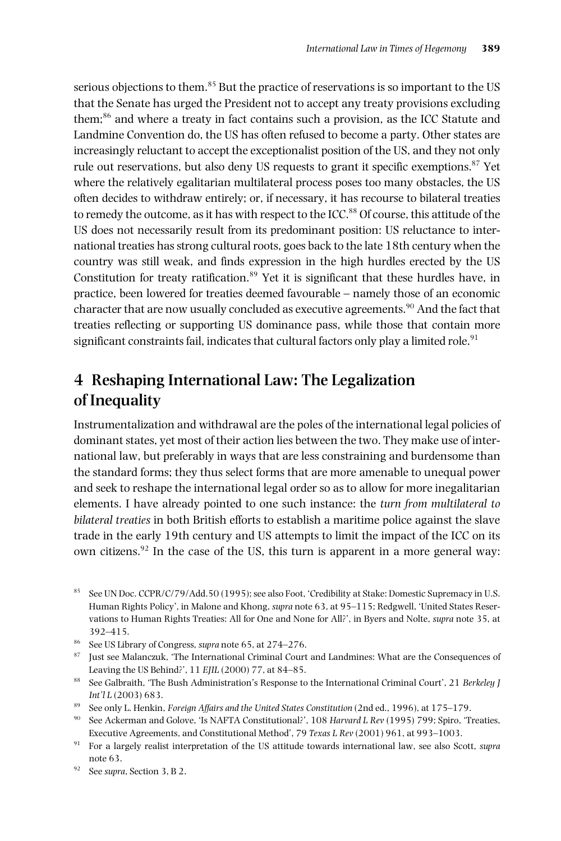serious objections to them.<sup>85</sup> But the practice of reservations is so important to the US that the Senate has urged the President not to accept any treaty provisions excluding them;86 and where a treaty in fact contains such a provision, as the ICC Statute and Landmine Convention do, the US has often refused to become a party. Other states are increasingly reluctant to accept the exceptionalist position of the US, and they not only rule out reservations, but also deny US requests to grant it specific exemptions.<sup>87</sup> Yet where the relatively egalitarian multilateral process poses too many obstacles, the US often decides to withdraw entirely; or, if necessary, it has recourse to bilateral treaties to remedy the outcome, as it has with respect to the  $ICC.^{88}$  Of course, this attitude of the US does not necessarily result from its predominant position: US reluctance to international treaties has strong cultural roots, goes back to the late 18th century when the country was still weak, and finds expression in the high hurdles erected by the US Constitution for treaty ratification.<sup>89</sup> Yet it is significant that these hurdles have, in practice, been lowered for treaties deemed favourable – namely those of an economic character that are now usually concluded as executive agreements.<sup>90</sup> And the fact that treaties reflecting or supporting US dominance pass, while those that contain more significant constraints fail, indicates that cultural factors only play a limited role.<sup>91</sup>

# **4 Reshaping International Law: The Legalization of Inequality**

Instrumentalization and withdrawal are the poles of the international legal policies of dominant states, yet most of their action lies between the two. They make use of international law, but preferably in ways that are less constraining and burdensome than the standard forms; they thus select forms that are more amenable to unequal power and seek to reshape the international legal order so as to allow for more inegalitarian elements. I have already pointed to one such instance: the *turn from multilateral to bilateral treaties* in both British efforts to establish a maritime police against the slave trade in the early 19th century and US attempts to limit the impact of the ICC on its own citizens.<sup>92</sup> In the case of the US, this turn is apparent in a more general way:

<sup>85</sup> See UN Doc. CCPR/C/79/Add.50 (1995); see also Foot, 'Credibility at Stake: Domestic Supremacy in U.S. Human Rights Policy', in Malone and Khong, *supra* note 63, at 95–115; Redgwell, 'United States Reservations to Human Rights Treaties: All for One and None for All?', in Byers and Nolte, *supra* note 35, at 392–415.<br><sup>86</sup> See US Library of Congress, *supra* note 65, at 274–276.<br><sup>87</sup> Just see Malanczuk, 'The International Criminal Court and Landmines: What are the Consequences of

Leaving the US Behind?', 11 *EJIL* (2000) 77, at 84–85.<br><sup>88</sup> See Galbraith, 'The Bush Administration's Response to the International Criminal Court', 21 *Berkeley J* 

Int<sup>7</sup>IL (2003) 683.<br><sup>89</sup> See only L. Henkin, *Foreign Affairs and the United States Constitution* (2nd ed., 1996), at 175–179.<br><sup>90</sup> See Ackerman and Golove, 'Is NAFTA Constitutional?', 108 *Harvard L Rev* (1995) 799; Spi

Executive Agreements, and Constitutional Method', 79 *Texas L Rev* (2001) 961, at 993–1003. 91 For a largely realist interpretation of the US attitude towards international law, see also Scott, *supra*

note 63. 92 See *supra*, Section 3, B 2.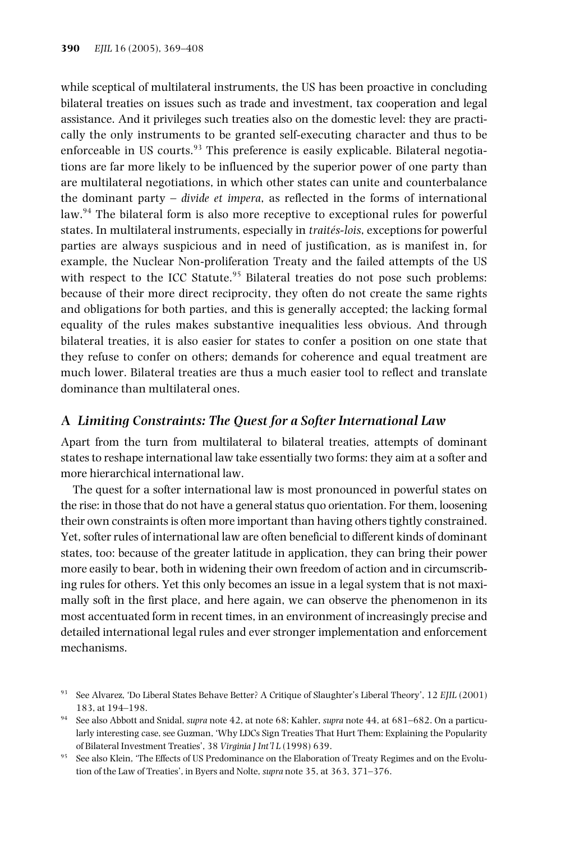while sceptical of multilateral instruments, the US has been proactive in concluding bilateral treaties on issues such as trade and investment, tax cooperation and legal assistance. And it privileges such treaties also on the domestic level: they are practically the only instruments to be granted self-executing character and thus to be enforceable in US courts.<sup>93</sup> This preference is easily explicable. Bilateral negotiations are far more likely to be influenced by the superior power of one party than are multilateral negotiations, in which other states can unite and counterbalance the dominant party – *divide et impera*, as reflected in the forms of international law.<sup>94</sup> The bilateral form is also more receptive to exceptional rules for powerful states. In multilateral instruments, especially in *traités-lois*, exceptions for powerful parties are always suspicious and in need of justification, as is manifest in, for example, the Nuclear Non-proliferation Treaty and the failed attempts of the US with respect to the ICC Statute.<sup>95</sup> Bilateral treaties do not pose such problems: because of their more direct reciprocity, they often do not create the same rights and obligations for both parties, and this is generally accepted; the lacking formal equality of the rules makes substantive inequalities less obvious. And through bilateral treaties, it is also easier for states to confer a position on one state that they refuse to confer on others; demands for coherence and equal treatment are much lower. Bilateral treaties are thus a much easier tool to reflect and translate dominance than multilateral ones.

### **A** *Limiting Constraints: The Quest for a Softer International Law*

Apart from the turn from multilateral to bilateral treaties, attempts of dominant states to reshape international law take essentially two forms: they aim at a softer and more hierarchical international law.

The quest for a softer international law is most pronounced in powerful states on the rise: in those that do not have a general status quo orientation. For them, loosening their own constraints is often more important than having others tightly constrained. Yet, softer rules of international law are often beneficial to different kinds of dominant states, too: because of the greater latitude in application, they can bring their power more easily to bear, both in widening their own freedom of action and in circumscribing rules for others. Yet this only becomes an issue in a legal system that is not maximally soft in the first place, and here again, we can observe the phenomenon in its most accentuated form in recent times, in an environment of increasingly precise and detailed international legal rules and ever stronger implementation and enforcement mechanisms.

<sup>93</sup> See Alvarez, 'Do Liberal States Behave Better? A Critique of Slaughter's Liberal Theory', 12 *EJIL* (2001)

<sup>183,</sup> at 194–198. 94 See also Abbott and Snidal, *supra* note 42, at note 68; Kahler, *supra* note 44, at 681–682. On a particularly interesting case, see Guzman, 'Why LDCs Sign Treaties That Hurt Them: Explaining the Popularity

of Bilateral Investment Treaties', 38 *Virginia J Int'l L* (1998) 639. See also Klein, 'The Effects of US Predominance on the Elaboration of Treaty Regimes and on the Evolution of the Law of Treaties', in Byers and Nolte, *supra* note 35, at 363, 371–376.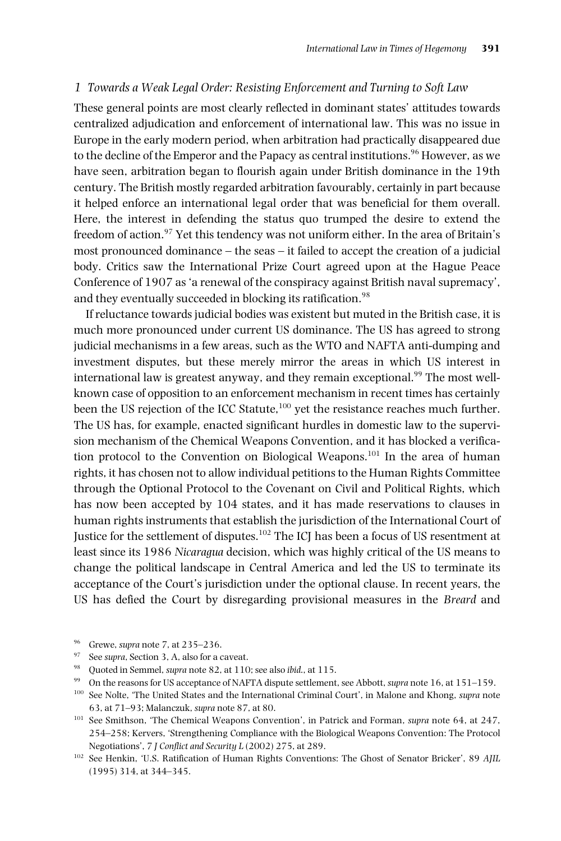#### *1 Towards a Weak Legal Order: Resisting Enforcement and Turning to Soft Law*

These general points are most clearly reflected in dominant states' attitudes towards centralized adjudication and enforcement of international law. This was no issue in Europe in the early modern period, when arbitration had practically disappeared due to the decline of the Emperor and the Papacy as central institutions.<sup>96</sup> However, as we have seen, arbitration began to flourish again under British dominance in the 19th century. The British mostly regarded arbitration favourably, certainly in part because it helped enforce an international legal order that was beneficial for them overall. Here, the interest in defending the status quo trumped the desire to extend the freedom of action.<sup>97</sup> Yet this tendency was not uniform either. In the area of Britain's most pronounced dominance – the seas – it failed to accept the creation of a judicial body. Critics saw the International Prize Court agreed upon at the Hague Peace Conference of 1907 as 'a renewal of the conspiracy against British naval supremacy', and they eventually succeeded in blocking its ratification.<sup>98</sup>

If reluctance towards judicial bodies was existent but muted in the British case, it is much more pronounced under current US dominance. The US has agreed to strong judicial mechanisms in a few areas, such as the WTO and NAFTA anti-dumping and investment disputes, but these merely mirror the areas in which US interest in international law is greatest anyway, and they remain exceptional.<sup>99</sup> The most wellknown case of opposition to an enforcement mechanism in recent times has certainly been the US rejection of the ICC Statute,<sup>100</sup> yet the resistance reaches much further. The US has, for example, enacted significant hurdles in domestic law to the supervision mechanism of the Chemical Weapons Convention, and it has blocked a verification protocol to the Convention on Biological Weapons.<sup>101</sup> In the area of human rights, it has chosen not to allow individual petitions to the Human Rights Committee through the Optional Protocol to the Covenant on Civil and Political Rights, which has now been accepted by 104 states, and it has made reservations to clauses in human rights instruments that establish the jurisdiction of the International Court of Justice for the settlement of disputes.<sup>102</sup> The ICJ has been a focus of US resentment at least since its 1986 *Nicaragua* decision, which was highly critical of the US means to change the political landscape in Central America and led the US to terminate its acceptance of the Court's jurisdiction under the optional clause. In recent years, the US has defied the Court by disregarding provisional measures in the *Breard* and

<sup>&</sup>lt;sup>96</sup> Grewe, *supra* note 7, at 235–236.<br><sup>97</sup> See *supra*, Section 3, A, also for a caveat.<br><sup>98</sup> Quoted in Semmel, *supra* note 82, at 110; see also *ibid.*, at 115.<br><sup>99</sup> On the reasons for US acceptance of NAFTA dispute s 63, at 71–93; Malanczuk, *supra* note 87, at 80. 101 See Smithson, 'The Chemical Weapons Convention', in Patrick and Forman, *supra* note 64, at 247,

<sup>254–258;</sup> Kervers, 'Strengthening Compliance with the Biological Weapons Convention: The Protocol Negotiations', 7 *J Conflict and Security L* (2002) 275, at 289. 102 See Henkin, 'U.S. Ratification of Human Rights Conventions: The Ghost of Senator Bricker', 89 *AJIL*

<sup>(1995) 314,</sup> at 344–345.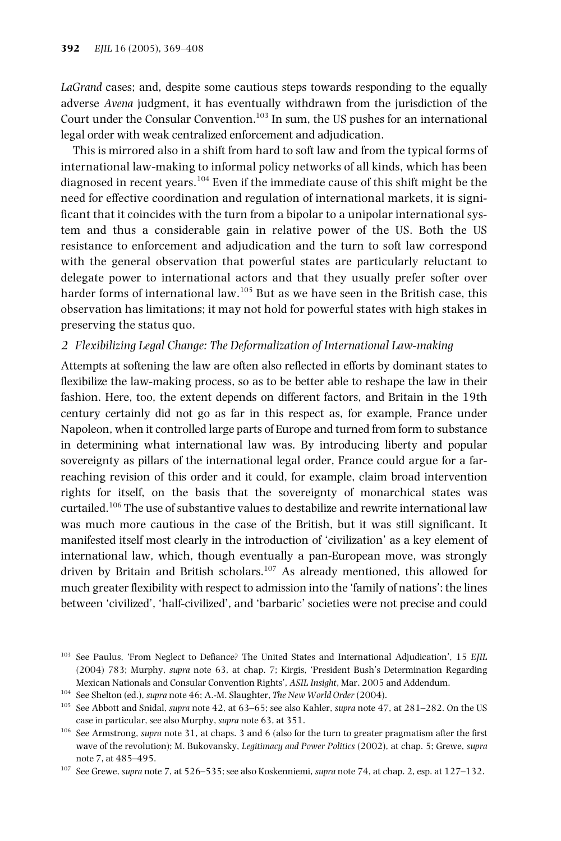*LaGrand* cases; and, despite some cautious steps towards responding to the equally adverse *Avena* judgment, it has eventually withdrawn from the jurisdiction of the Court under the Consular Convention.<sup>103</sup> In sum, the US pushes for an international legal order with weak centralized enforcement and adjudication.

This is mirrored also in a shift from hard to soft law and from the typical forms of international law-making to informal policy networks of all kinds, which has been diagnosed in recent years.104 Even if the immediate cause of this shift might be the need for effective coordination and regulation of international markets, it is significant that it coincides with the turn from a bipolar to a unipolar international system and thus a considerable gain in relative power of the US. Both the US resistance to enforcement and adjudication and the turn to soft law correspond with the general observation that powerful states are particularly reluctant to delegate power to international actors and that they usually prefer softer over harder forms of international law.<sup>105</sup> But as we have seen in the British case, this observation has limitations; it may not hold for powerful states with high stakes in preserving the status quo.

#### *2 Flexibilizing Legal Change: The Deformalization of International Law-making*

Attempts at softening the law are often also reflected in efforts by dominant states to flexibilize the law-making process, so as to be better able to reshape the law in their fashion. Here, too, the extent depends on different factors, and Britain in the 19th century certainly did not go as far in this respect as, for example, France under Napoleon, when it controlled large parts of Europe and turned from form to substance in determining what international law was. By introducing liberty and popular sovereignty as pillars of the international legal order, France could argue for a farreaching revision of this order and it could, for example, claim broad intervention rights for itself, on the basis that the sovereignty of monarchical states was curtailed.106 The use of substantive values to destabilize and rewrite international law was much more cautious in the case of the British, but it was still significant. It manifested itself most clearly in the introduction of 'civilization' as a key element of international law, which, though eventually a pan-European move, was strongly driven by Britain and British scholars.<sup>107</sup> As already mentioned, this allowed for much greater flexibility with respect to admission into the 'family of nations': the lines between 'civilized', 'half-civilized', and 'barbaric' societies were not precise and could

<sup>103</sup> See Paulus, 'From Neglect to Defiance? The United States and International Adjudication', 15 *EJIL* (2004) 783; Murphy, *supra* note 63, at chap. 7; Kirgis, 'President Bush's Determination Regarding Mexican Nationals and Consular Convention Rights', ASIL Insight, Mar. 2005 and Addendum.<br><sup>104</sup> See Shelton (ed.), *supra* note 46; A.-M. Slaughter, *The New World Order* (2004).<br><sup>105</sup> See Abbott and Snidal, *supra* note 4

case in particular, see also Murphy, *supra* note 63, at 351.  $^{106}$  See Armstrong, *supra* note 31, at chaps. 3 and 6 (also for the turn to greater pragmatism after the first wave of the revolution); M. Bukovansky, *Legitimacy and Power Politics* (2002), at chap. 5; Grewe, *supra*

note 7, at 485–495. 107 See Grewe, *supra* note 7, at 526–535; see also Koskenniemi, *supra* note 74, at chap. 2, esp. at 127–132.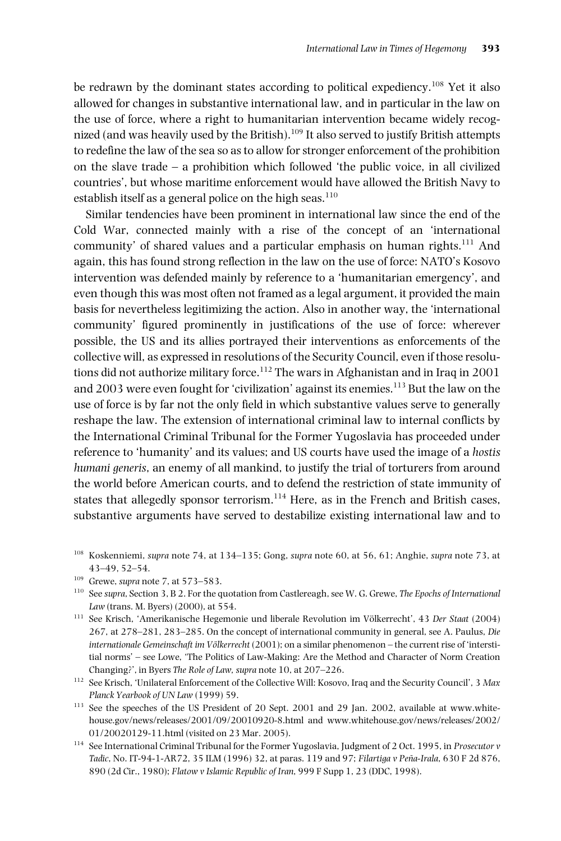be redrawn by the dominant states according to political expediency.108 Yet it also allowed for changes in substantive international law, and in particular in the law on the use of force, where a right to humanitarian intervention became widely recognized (and was heavily used by the British).<sup>109</sup> It also served to justify British attempts to redefine the law of the sea so as to allow for stronger enforcement of the prohibition on the slave trade – a prohibition which followed 'the public voice, in all civilized countries', but whose maritime enforcement would have allowed the British Navy to establish itself as a general police on the high seas.<sup>110</sup>

Similar tendencies have been prominent in international law since the end of the Cold War, connected mainly with a rise of the concept of an 'international community' of shared values and a particular emphasis on human rights.<sup>111</sup> And again, this has found strong reflection in the law on the use of force: NATO's Kosovo intervention was defended mainly by reference to a 'humanitarian emergency', and even though this was most often not framed as a legal argument, it provided the main basis for nevertheless legitimizing the action. Also in another way, the 'international community' figured prominently in justifications of the use of force: wherever possible, the US and its allies portrayed their interventions as enforcements of the collective will, as expressed in resolutions of the Security Council, even if those resolutions did not authorize military force.<sup>112</sup> The wars in Afghanistan and in Iraq in 2001 and 2003 were even fought for 'civilization' against its enemies.<sup>113</sup> But the law on the use of force is by far not the only field in which substantive values serve to generally reshape the law. The extension of international criminal law to internal conflicts by the International Criminal Tribunal for the Former Yugoslavia has proceeded under reference to 'humanity' and its values; and US courts have used the image of a *hostis humani generis*, an enemy of all mankind, to justify the trial of torturers from around the world before American courts, and to defend the restriction of state immunity of states that allegedly sponsor terrorism. $114$  Here, as in the French and British cases, substantive arguments have served to destabilize existing international law and to

- <sup>108</sup> Koskenniemi, *supra* note 74, at 134–135; Gong, *supra* note 60, at 56, 61; Anghie, *supra* note 73, at 43–49, 52–54.<br><sup>109</sup> Grewe, *supra* note 7, at 573–583.<br><sup>110</sup> See *supra*, Section 3, B 2. For the quotation from Castlereagh, see W. G. Grewe, *The Epochs of International*
- 
- *Law* (trans. M. Byers) (2000), at 554. 111 See Krisch, 'Amerikanische Hegemonie und liberale Revolution im Völkerrecht', 43 *Der Staat* (2004)
- 267, at 278–281, 283–285. On the concept of international community in general, see A. Paulus, *Die internationale Gemeinschaft im Völkerrecht* (2001); on a similar phenomenon – the current rise of 'interstitial norms' – see Lowe, 'The Politics of Law-Making: Are the Method and Character of Norm Creation Changing?', in Byers *The Role of Law, supra* note 10, at 207–226.<br><sup>112</sup> See Krisch, 'Unilateral Enforcement of the Collective Will: Kosovo, Iraq and the Security Council', 3 *Max*
- *Planck Yearbook of UN Law* (1999) 59.<br><sup>113</sup> See the speeches of the US President of 20 Sept. 2001 and 29 Jan. 2002, available at [www.white-](www.whitehouse.gov/news/releases/2001/09/20010920-8.html)
- [house.gov/news/releases/2001/09/20010920-8.html](www.whitehouse.gov/news/releases/2001/09/20010920-8.html) and [www.whitehouse.gov/news/releases/2002/](www.whitehouse.gov/news/releases/2002/01/20020129-11.html) [01/20020129-11.html \(](www.whitehouse.gov/news/releases/2002/01/20020129-11.html)visited on 23 Mar. 2005). 114 See International Criminal Tribunal for the Former Yugoslavia, Judgment of 2 Oct. 1995, in *Prosecutor v*
- *Tadic*, No. IT-94-1-AR72, 35 ILM (1996) 32, at paras. 119 and 97; *Filartiga v Peña-Irala*, 630 F 2d 876, 890 (2d Cir., 1980); *Flatow v Islamic Republic of Iran*, 999 F Supp 1, 23 (DDC, 1998).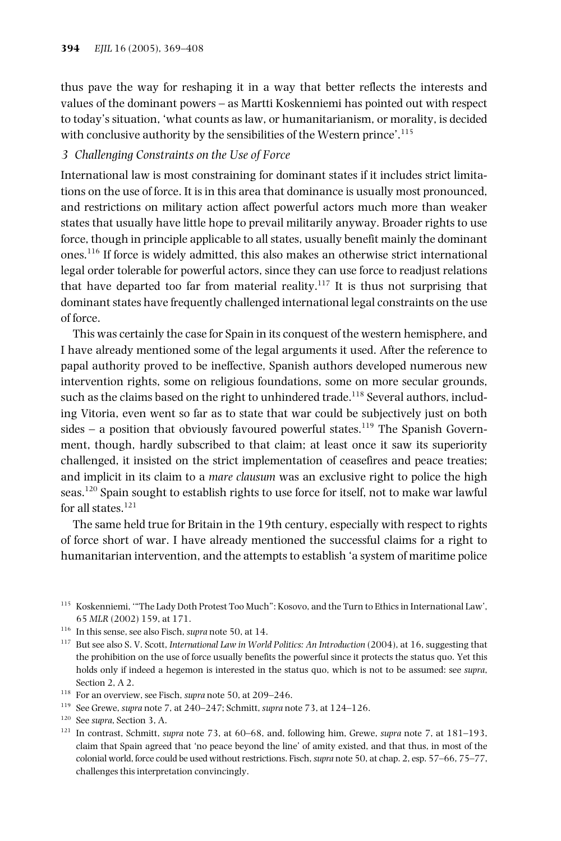thus pave the way for reshaping it in a way that better reflects the interests and values of the dominant powers – as Martti Koskenniemi has pointed out with respect to today's situation, 'what counts as law, or humanitarianism, or morality, is decided with conclusive authority by the sensibilities of the Western prince'.<sup>115</sup>

#### *3 Challenging Constraints on the Use of Force*

International law is most constraining for dominant states if it includes strict limitations on the use of force. It is in this area that dominance is usually most pronounced, and restrictions on military action affect powerful actors much more than weaker states that usually have little hope to prevail militarily anyway. Broader rights to use force, though in principle applicable to all states, usually benefit mainly the dominant ones.116 If force is widely admitted, this also makes an otherwise strict international legal order tolerable for powerful actors, since they can use force to readjust relations that have departed too far from material reality.<sup>117</sup> It is thus not surprising that dominant states have frequently challenged international legal constraints on the use of force.

This was certainly the case for Spain in its conquest of the western hemisphere, and I have already mentioned some of the legal arguments it used. After the reference to papal authority proved to be ineffective, Spanish authors developed numerous new intervention rights, some on religious foundations, some on more secular grounds, such as the claims based on the right to unhindered trade.<sup>118</sup> Several authors, including Vitoria, even went so far as to state that war could be subjectively just on both sides – a position that obviously favoured powerful states.<sup>119</sup> The Spanish Government, though, hardly subscribed to that claim; at least once it saw its superiority challenged, it insisted on the strict implementation of ceasefires and peace treaties; and implicit in its claim to a *mare clausum* was an exclusive right to police the high seas.120 Spain sought to establish rights to use force for itself, not to make war lawful for all states.<sup>121</sup>

The same held true for Britain in the 19th century, especially with respect to rights of force short of war. I have already mentioned the successful claims for a right to humanitarian intervention, and the attempts to establish 'a system of maritime police

<sup>115</sup> Koskenniemi, '"The Lady Doth Protest Too Much": Kosovo, and the Turn to Ethics in International Law', <sup>65</sup>*MLR* (2002) 159, at 171. 116 In this sense, see also Fisch, *supra* note 50, at 14. 117 But see also S. V. Scott, *International Law in World Politics: An Introduction* (2004), at 16, suggesting that

the prohibition on the use of force usually benefits the powerful since it protects the status quo. Yet this holds only if indeed a hegemon is interested in the status quo, which is not to be assumed: see *supra*,

Section 2, A 2.<br>
<sup>118</sup> For an overview, see Fisch, *supra* note 50, at 209–246.<br>
<sup>119</sup> See Grewe, *supra* note 7, at 240–247; Schmitt, *supra* note 73, at 124–126.<br>
<sup>120</sup> See *supra*, Section 3, A.<br>
<sup>121</sup> In contrast, Sch claim that Spain agreed that 'no peace beyond the line' of amity existed, and that thus, in most of the colonial world, force could be used without restrictions. Fisch, *supra* note 50, at chap. 2, esp. 57–66, 75–77, challenges this interpretation convincingly.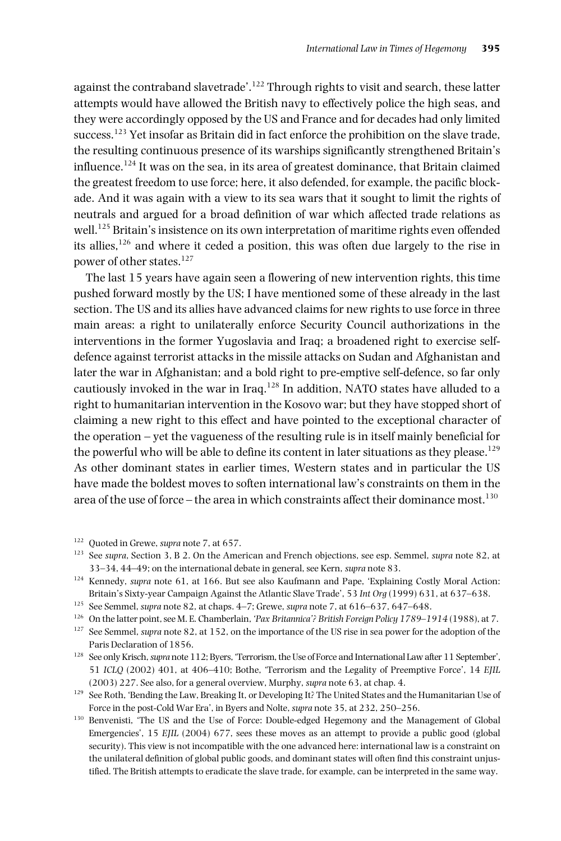against the contraband slavetrade'.122 Through rights to visit and search, these latter attempts would have allowed the British navy to effectively police the high seas, and they were accordingly opposed by the US and France and for decades had only limited success.<sup>123</sup> Yet insofar as Britain did in fact enforce the prohibition on the slave trade, the resulting continuous presence of its warships significantly strengthened Britain's influence.<sup>124</sup> It was on the sea, in its area of greatest dominance, that Britain claimed the greatest freedom to use force; here, it also defended, for example, the pacific blockade. And it was again with a view to its sea wars that it sought to limit the rights of neutrals and argued for a broad definition of war which affected trade relations as well.<sup>125</sup> Britain's insistence on its own interpretation of maritime rights even offended its allies,<sup>126</sup> and where it ceded a position, this was often due largely to the rise in power of other states.<sup>127</sup>

The last 15 years have again seen a flowering of new intervention rights, this time pushed forward mostly by the US; I have mentioned some of these already in the last section. The US and its allies have advanced claims for new rights to use force in three main areas: a right to unilaterally enforce Security Council authorizations in the interventions in the former Yugoslavia and Iraq; a broadened right to exercise selfdefence against terrorist attacks in the missile attacks on Sudan and Afghanistan and later the war in Afghanistan; and a bold right to pre-emptive self-defence, so far only cautiously invoked in the war in Iraq.128 In addition, NATO states have alluded to a right to humanitarian intervention in the Kosovo war; but they have stopped short of claiming a new right to this effect and have pointed to the exceptional character of the operation – yet the vagueness of the resulting rule is in itself mainly beneficial for the powerful who will be able to define its content in later situations as they please.<sup>129</sup> As other dominant states in earlier times, Western states and in particular the US have made the boldest moves to soften international law's constraints on them in the area of the use of force – the area in which constraints affect their dominance most.<sup>130</sup>

Paris Declaration of 1856. 128 See only Krisch, *supra* note 112; Byers, 'Terrorism, the Use of Force and International Law after 11 September',

51 *ICLQ* (2002) 401, at 406–410; Bothe, 'Terrorism and the Legality of Preemptive Force', 14 *EJIL* (2003) 227. See also, for a general overview, Murphy, *supra* note 63, at chap. 4. 129 See Roth, 'Bending the Law, Breaking It, or Developing It? The United States and the Humanitarian Use of

Force in the post-Cold War Era', in Byers and Nolte, *supra* note 35, at 232, 250–256. 130 Benvenisti, 'The US and the Use of Force: Double-edged Hegemony and the Management of Global

Emergencies', 15 *EJIL* (2004) 677, sees these moves as an attempt to provide a public good (global security). This view is not incompatible with the one advanced here: international law is a constraint on the unilateral definition of global public goods, and dominant states will often find this constraint unjustified. The British attempts to eradicate the slave trade, for example, can be interpreted in the same way.

<sup>&</sup>lt;sup>122</sup> Quoted in Grewe, *supra* note 7, at 657.<br><sup>123</sup> See *supra*, Section 3, B 2. On the American and French objections, see esp. Semmel, *supra* note 82, at

<sup>33–34, 44–49;</sup> on the international debate in general, see Kern, *supra* note 83. 124 Kennedy, *supra* note 61, at 166. But see also Kaufmann and Pape, 'Explaining Costly Moral Action: Britain's Sixty-year Campaign Against the Atlantic Slave Trade', 53 *Int Org* (1999) 631, at 637–638.<br><sup>125</sup> See Semmel, *supra* note 82, at chaps. 4–7; Grewe, *supra* note 7, at 616–637, 647–648.<br><sup>126</sup> On the latter point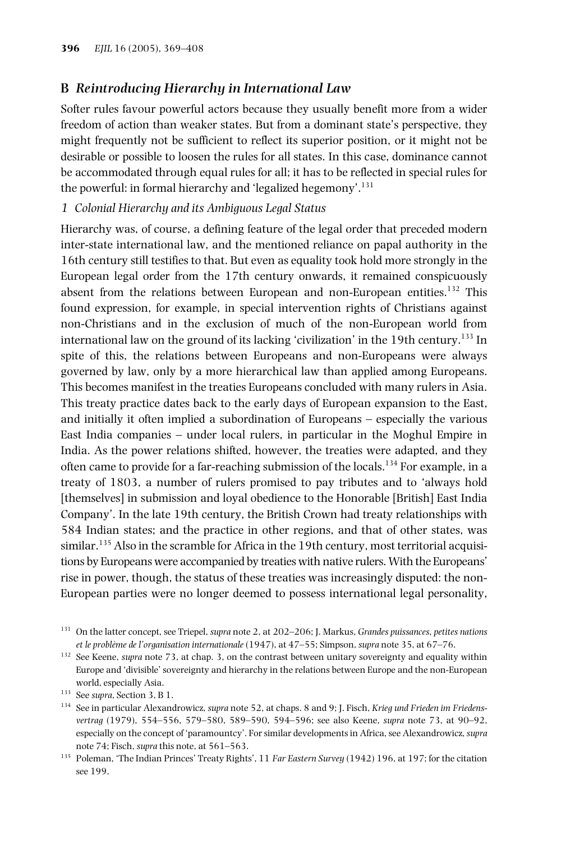### **B** *Reintroducing Hierarchy in International Law*

Softer rules favour powerful actors because they usually benefit more from a wider freedom of action than weaker states. But from a dominant state's perspective, they might frequently not be sufficient to reflect its superior position, or it might not be desirable or possible to loosen the rules for all states. In this case, dominance cannot be accommodated through equal rules for all; it has to be reflected in special rules for the powerful: in formal hierarchy and 'legalized hegemony'.<sup>131</sup>

### *1 Colonial Hierarchy and its Ambiguous Legal Status*

Hierarchy was, of course, a defining feature of the legal order that preceded modern inter-state international law, and the mentioned reliance on papal authority in the 16th century still testifies to that. But even as equality took hold more strongly in the European legal order from the 17th century onwards, it remained conspicuously absent from the relations between European and non-European entities.<sup>132</sup> This found expression, for example, in special intervention rights of Christians against non-Christians and in the exclusion of much of the non-European world from international law on the ground of its lacking 'civilization' in the 19th century.<sup>133</sup> In spite of this, the relations between Europeans and non-Europeans were always governed by law, only by a more hierarchical law than applied among Europeans. This becomes manifest in the treaties Europeans concluded with many rulers in Asia. This treaty practice dates back to the early days of European expansion to the East, and initially it often implied a subordination of Europeans – especially the various East India companies – under local rulers, in particular in the Moghul Empire in India. As the power relations shifted, however, the treaties were adapted, and they often came to provide for a far-reaching submission of the locals.<sup>134</sup> For example, in a treaty of 1803, a number of rulers promised to pay tributes and to 'always hold [themselves] in submission and loyal obedience to the Honorable [British] East India Company'. In the late 19th century, the British Crown had treaty relationships with 584 Indian states; and the practice in other regions, and that of other states, was similar.<sup>135</sup> Also in the scramble for Africa in the 19th century, most territorial acquisitions by Europeans were accompanied by treaties with native rulers. With the Europeans' rise in power, though, the status of these treaties was increasingly disputed: the non-European parties were no longer deemed to possess international legal personality,

<sup>131</sup> On the latter concept, see Triepel, *supra* note 2, at 202–206; J. Markus, *Grandes puissances, petites nations*

*et le problème de l'organisation internationale* (1947), at 47–55; Simpson, *supra* note 35, at 67–76.<br><sup>132</sup> See Keene, *supra* note 73, at chap. 3, on the contrast between unitary sovereignty and equality within Europe and 'divisible' sovereignty and hierarchy in the relations between Europe and the non-European world, especially Asia. 133 See *supra*, Section 3, B 1. 134 See in particular Alexandrowicz, *supra* note 52, at chaps. 8 and 9; J. Fisch, *Krieg und Frieden im Friedens-*

*vertrag* (1979), 554–556, 579–580, 589–590, 594–596; see also Keene, *supra* note 73, at 90–92, especially on the concept of 'paramountcy'. For similar developments in Africa, see Alexandrowicz, *supra*

note 74; Fisch, *supra* this note, at 561–563. 135 Poleman, 'The Indian Princes' Treaty Rights', 11 *Far Eastern Survey* (1942) 196, at 197; for the citation see 199.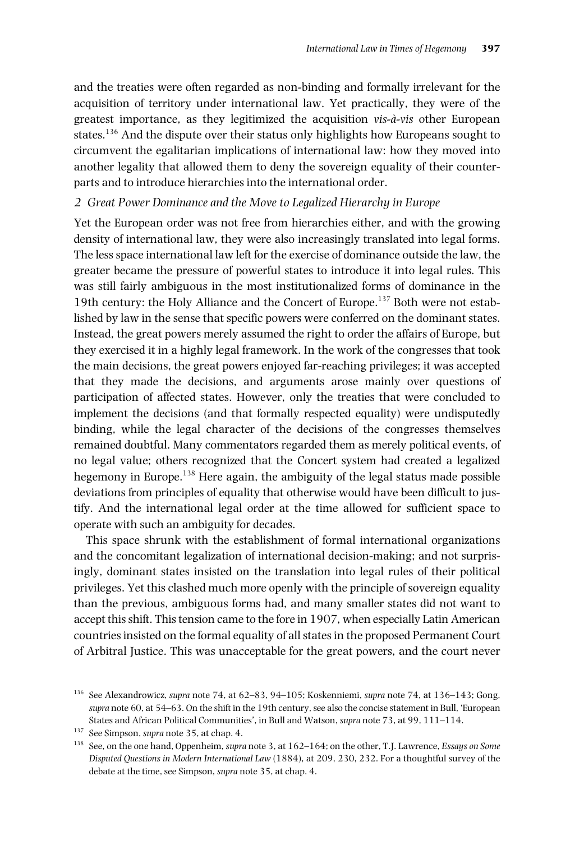and the treaties were often regarded as non-binding and formally irrelevant for the acquisition of territory under international law. Yet practically, they were of the greatest importance, as they legitimized the acquisition *vis-à-vis* other European states.136 And the dispute over their status only highlights how Europeans sought to circumvent the egalitarian implications of international law: how they moved into another legality that allowed them to deny the sovereign equality of their counterparts and to introduce hierarchies into the international order.

### *2 Great Power Dominance and the Move to Legalized Hierarchy in Europe*

Yet the European order was not free from hierarchies either, and with the growing density of international law, they were also increasingly translated into legal forms. The less space international law left for the exercise of dominance outside the law, the greater became the pressure of powerful states to introduce it into legal rules. This was still fairly ambiguous in the most institutionalized forms of dominance in the 19th century: the Holy Alliance and the Concert of Europe.<sup>137</sup> Both were not established by law in the sense that specific powers were conferred on the dominant states. Instead, the great powers merely assumed the right to order the affairs of Europe, but they exercised it in a highly legal framework. In the work of the congresses that took the main decisions, the great powers enjoyed far-reaching privileges; it was accepted that they made the decisions, and arguments arose mainly over questions of participation of affected states. However, only the treaties that were concluded to implement the decisions (and that formally respected equality) were undisputedly binding, while the legal character of the decisions of the congresses themselves remained doubtful. Many commentators regarded them as merely political events, of no legal value; others recognized that the Concert system had created a legalized hegemony in Europe.138 Here again, the ambiguity of the legal status made possible deviations from principles of equality that otherwise would have been difficult to justify. And the international legal order at the time allowed for sufficient space to operate with such an ambiguity for decades.

This space shrunk with the establishment of formal international organizations and the concomitant legalization of international decision-making; and not surprisingly, dominant states insisted on the translation into legal rules of their political privileges. Yet this clashed much more openly with the principle of sovereign equality than the previous, ambiguous forms had, and many smaller states did not want to accept this shift. This tension came to the fore in 1907, when especially Latin American countries insisted on the formal equality of all states in the proposed Permanent Court of Arbitral Justice. This was unacceptable for the great powers, and the court never

<sup>136</sup> See Alexandrowicz, *supra* note 74, at 62–83, 94–105; Koskenniemi, *supra* note 74, at 136–143; Gong, *supra* note 60, at 54–63. On the shift in the 19th century, see also the concise statement in Bull, 'European States and African Political Communities', in Bull and Watson, *supra* note 73, at 99, 111–114.<br><sup>137</sup> See Simpson, *supra* note 35, at chap. 4.<br><sup>138</sup> See, on the one hand, Oppenheim, *supra* note 3, at 162–164; on the othe

*Disputed Questions in Modern International Law* (1884), at 209, 230, 232. For a thoughtful survey of the debate at the time, see Simpson, *supra* note 35, at chap. 4.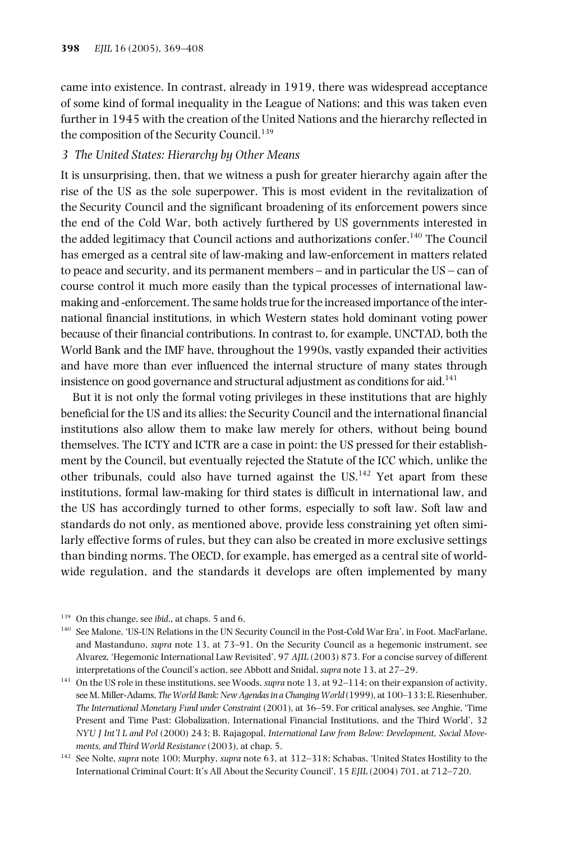came into existence. In contrast, already in 1919, there was widespread acceptance of some kind of formal inequality in the League of Nations; and this was taken even further in 1945 with the creation of the United Nations and the hierarchy reflected in the composition of the Security Council.<sup>139</sup>

### *3 The United States: Hierarchy by Other Means*

It is unsurprising, then, that we witness a push for greater hierarchy again after the rise of the US as the sole superpower. This is most evident in the revitalization of the Security Council and the significant broadening of its enforcement powers since the end of the Cold War, both actively furthered by US governments interested in the added legitimacy that Council actions and authorizations confer.<sup>140</sup> The Council has emerged as a central site of law-making and law-enforcement in matters related to peace and security, and its permanent members – and in particular the US – can of course control it much more easily than the typical processes of international lawmaking and -enforcement. The same holds true for the increased importance of the international financial institutions, in which Western states hold dominant voting power because of their financial contributions. In contrast to, for example, UNCTAD, both the World Bank and the IMF have, throughout the 1990s, vastly expanded their activities and have more than ever influenced the internal structure of many states through insistence on good governance and structural adjustment as conditions for aid.<sup>141</sup>

But it is not only the formal voting privileges in these institutions that are highly beneficial for the US and its allies: the Security Council and the international financial institutions also allow them to make law merely for others, without being bound themselves. The ICTY and ICTR are a case in point: the US pressed for their establishment by the Council, but eventually rejected the Statute of the ICC which, unlike the other tribunals, could also have turned against the  $US$ <sup>142</sup> Yet apart from these institutions, formal law-making for third states is difficult in international law, and the US has accordingly turned to other forms, especially to soft law. Soft law and standards do not only, as mentioned above, provide less constraining yet often similarly effective forms of rules, but they can also be created in more exclusive settings than binding norms. The OECD, for example, has emerged as a central site of worldwide regulation, and the standards it develops are often implemented by many

<sup>&</sup>lt;sup>139</sup> On this change, see *ibid*., at chaps. 5 and 6.<br><sup>140</sup> See Malone, 'US-UN Relations in the UN Security Council in the Post-Cold War Era', in Foot. MacFarlane, and Mastanduno, *supra* note 13, at 73–91. On the Security Council as a hegemonic instrument, see Alvarez, 'Hegemonic International Law Revisited', 97 *AJIL* (2003) 873. For a concise survey of different interpretations of the Council's action, see Abbott and Snidal, *supra* note 13, at 27–29.<br><sup>141</sup> On the US role in these institutions, see Woods, *supra* note 13, at 92–114; on their expansion of activity,

see M. Miller-Adams, *The World Bank: New Agendas in a Changing World* (1999), at 100–133; E. Riesenhuber, *The International Monetary Fund under Constraint* (2001), at 36–59. For critical analyses, see Anghie, 'Time Present and Time Past: Globalization, International Financial Institutions, and the Third World', 32 *NYU J Int'l L and Pol* (2000) 243; B. Rajagopal, *International Law from Below: Development, Social Move-*

*ments, and Third World Resistance* (2003), at chap. 5.<br><sup>142</sup> See Nolte, *supra* note 100; Murphy, *supra* note 63, at 312–318; Schabas, 'United States Hostility to the International Criminal Court: It's All About the Security Council', 15 *EJIL* (2004) 701, at 712–720.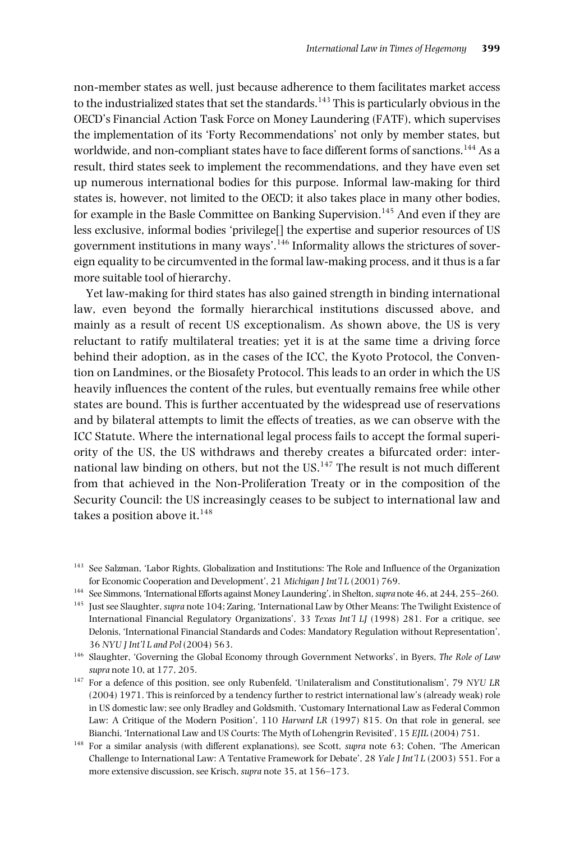non-member states as well, just because adherence to them facilitates market access to the industrialized states that set the standards.<sup>143</sup> This is particularly obvious in the OECD's Financial Action Task Force on Money Laundering (FATF), which supervises the implementation of its 'Forty Recommendations' not only by member states, but worldwide, and non-compliant states have to face different forms of sanctions.<sup>144</sup> As a result, third states seek to implement the recommendations, and they have even set up numerous international bodies for this purpose. Informal law-making for third states is, however, not limited to the OECD; it also takes place in many other bodies, for example in the Basle Committee on Banking Supervision.<sup>145</sup> And even if they are less exclusive, informal bodies 'privilege[] the expertise and superior resources of US government institutions in many ways'.<sup>146</sup> Informality allows the strictures of sovereign equality to be circumvented in the formal law-making process, and it thus is a far more suitable tool of hierarchy.

Yet law-making for third states has also gained strength in binding international law, even beyond the formally hierarchical institutions discussed above, and mainly as a result of recent US exceptionalism. As shown above, the US is very reluctant to ratify multilateral treaties; yet it is at the same time a driving force behind their adoption, as in the cases of the ICC, the Kyoto Protocol, the Convention on Landmines, or the Biosafety Protocol. This leads to an order in which the US heavily influences the content of the rules, but eventually remains free while other states are bound. This is further accentuated by the widespread use of reservations and by bilateral attempts to limit the effects of treaties, as we can observe with the ICC Statute. Where the international legal process fails to accept the formal superiority of the US, the US withdraws and thereby creates a bifurcated order: international law binding on others, but not the US.<sup>147</sup> The result is not much different from that achieved in the Non-Proliferation Treaty or in the composition of the Security Council: the US increasingly ceases to be subject to international law and takes a position above it. $148$ 

International Financial Regulatory Organizations', 33 *Texas Int'l LJ* (1998) 281. For a critique, see Delonis, 'International Financial Standards and Codes: Mandatory Regulation without Representation', <sup>36</sup>*NYU J Int'l L and Pol* (2004) 563. 146 Slaughter, 'Governing the Global Economy through Government Networks', in Byers, *The Role of Law*

*supra* note 10, at 177, 205. 147 For a defence of this position, see only Rubenfeld, 'Unilateralism and Constitutionalism', 79 *NYU LR* 

(2004) 1971. This is reinforced by a tendency further to restrict international law's (already weak) role in US domestic law; see only Bradley and Goldsmith, 'Customary International Law as Federal Common Law: A Critique of the Modern Position', 110 *Harvard LR* (1997) 815. On that role in general, see Bianchi, 'International Law and US Courts: The Myth of Lohengrin Revisited', 15 *EJIL* (2004) 751. 148 For a similar analysis (with different explanations), see Scott, *supra* note 63; Cohen, 'The American

<sup>&</sup>lt;sup>143</sup> See Salzman, 'Labor Rights, Globalization and Institutions: The Role and Influence of the Organization for Economic Cooperation and Development', 21 Michigan J Int'l L (2001) 769.<br><sup>144</sup> See Simmons, 'International Efforts against Money Laundering', in Shelton, *supra* note 46, at 244, 255–260.<br><sup>145</sup> Just see Slaughter, *sup* 

Challenge to International Law: A Tentative Framework for Debate', 28 *Yale J Int'l L* (2003) 551. For a more extensive discussion, see Krisch, *supra* note 35, at 156–173.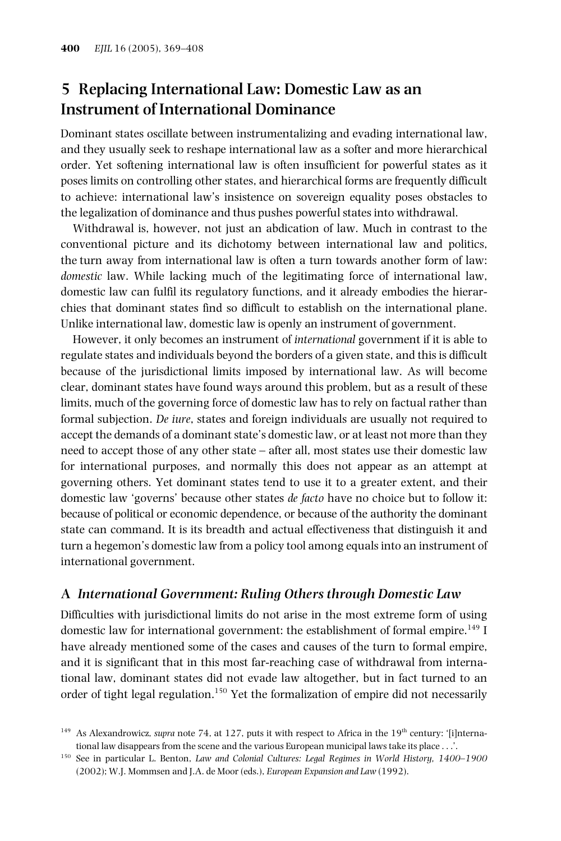## **5 Replacing International Law: Domestic Law as an Instrument of International Dominance**

Dominant states oscillate between instrumentalizing and evading international law, and they usually seek to reshape international law as a softer and more hierarchical order. Yet softening international law is often insufficient for powerful states as it poses limits on controlling other states, and hierarchical forms are frequently difficult to achieve: international law's insistence on sovereign equality poses obstacles to the legalization of dominance and thus pushes powerful states into withdrawal.

Withdrawal is, however, not just an abdication of law. Much in contrast to the conventional picture and its dichotomy between international law and politics, the turn away from international law is often a turn towards another form of law: *domestic* law. While lacking much of the legitimating force of international law, domestic law can fulfil its regulatory functions, and it already embodies the hierarchies that dominant states find so difficult to establish on the international plane. Unlike international law, domestic law is openly an instrument of government.

However, it only becomes an instrument of *international* government if it is able to regulate states and individuals beyond the borders of a given state, and this is difficult because of the jurisdictional limits imposed by international law. As will become clear, dominant states have found ways around this problem, but as a result of these limits, much of the governing force of domestic law has to rely on factual rather than formal subjection. *De iure*, states and foreign individuals are usually not required to accept the demands of a dominant state's domestic law, or at least not more than they need to accept those of any other state – after all, most states use their domestic law for international purposes, and normally this does not appear as an attempt at governing others. Yet dominant states tend to use it to a greater extent, and their domestic law 'governs' because other states *de facto* have no choice but to follow it: because of political or economic dependence, or because of the authority the dominant state can command. It is its breadth and actual effectiveness that distinguish it and turn a hegemon's domestic law from a policy tool among equals into an instrument of international government.

### **A** *International Government: Ruling Others through Domestic Law*

Difficulties with jurisdictional limits do not arise in the most extreme form of using domestic law for international government: the establishment of formal empire.<sup>149</sup> I have already mentioned some of the cases and causes of the turn to formal empire, and it is significant that in this most far-reaching case of withdrawal from international law, dominant states did not evade law altogether, but in fact turned to an order of tight legal regulation.<sup>150</sup> Yet the formalization of empire did not necessarily

<sup>&</sup>lt;sup>149</sup> As Alexandrowicz, *supra* note 74, at 127, puts it with respect to Africa in the 19<sup>th</sup> century: '[i]nterna-

tional law disappears from the scene and the various European municipal laws take its place . . .'.<br><sup>150</sup> See in particular L. Benton, *Law and Colonial Cultures: Legal Regimes in World History, 1400–1900* (2002); W.J. Mommsen and J.A. de Moor (eds.), *European Expansion and Law* (1992).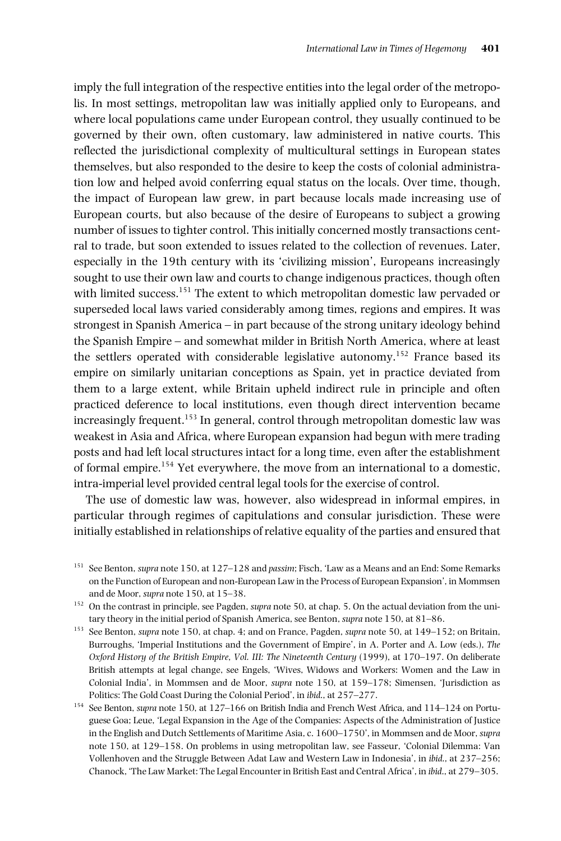imply the full integration of the respective entities into the legal order of the metropolis. In most settings, metropolitan law was initially applied only to Europeans, and where local populations came under European control, they usually continued to be governed by their own, often customary, law administered in native courts. This reflected the jurisdictional complexity of multicultural settings in European states themselves, but also responded to the desire to keep the costs of colonial administration low and helped avoid conferring equal status on the locals. Over time, though, the impact of European law grew, in part because locals made increasing use of European courts, but also because of the desire of Europeans to subject a growing number of issues to tighter control. This initially concerned mostly transactions central to trade, but soon extended to issues related to the collection of revenues. Later, especially in the 19th century with its 'civilizing mission', Europeans increasingly sought to use their own law and courts to change indigenous practices, though often with limited success.<sup>151</sup> The extent to which metropolitan domestic law pervaded or superseded local laws varied considerably among times, regions and empires. It was strongest in Spanish America – in part because of the strong unitary ideology behind the Spanish Empire – and somewhat milder in British North America, where at least the settlers operated with considerable legislative autonomy.<sup>152</sup> France based its empire on similarly unitarian conceptions as Spain, yet in practice deviated from them to a large extent, while Britain upheld indirect rule in principle and often practiced deference to local institutions, even though direct intervention became increasingly frequent.<sup>153</sup> In general, control through metropolitan domestic law was weakest in Asia and Africa, where European expansion had begun with mere trading posts and had left local structures intact for a long time, even after the establishment of formal empire.154 Yet everywhere, the move from an international to a domestic, intra-imperial level provided central legal tools for the exercise of control.

The use of domestic law was, however, also widespread in informal empires, in particular through regimes of capitulations and consular jurisdiction. These were initially established in relationships of relative equality of the parties and ensured that

<sup>151</sup> See Benton, *supra* note 150, at 127–128 and *passim*; Fisch, 'Law as a Means and an End: Some Remarks on the Function of European and non-European Law in the Process of European Expansion', in Mommsen

and de Moor, *supra* note 150, at 15–38.<br><sup>152</sup> On the contrast in principle, see Pagden, *supra* note 50, at chap. 5. On the actual deviation from the unitary theory in the initial period of Spanish America, see Benton, *supra* note 150, at 81–86. 153 See Benton, *supra* note 150, at chap. 4; and on France, Pagden, *supra* note 50, at 149–152; on Britain,

Burroughs, 'Imperial Institutions and the Government of Empire', in A. Porter and A. Low (eds.), *The Oxford History of the British Empire, Vol. III: The Nineteenth Century* (1999), at 170–197. On deliberate British attempts at legal change, see Engels, 'Wives, Widows and Workers: Women and the Law in Colonial India', in Mommsen and de Moor, *supra* note 150, at 159–178; Simensen, 'Jurisdiction as Politics: The Gold Coast During the Colonial Period', in *ibid*., at 257–277. 154 See Benton, *supra* note 150, at 127–166 on British India and French West Africa, and 114–124 on Portu-

guese Goa; Leue, 'Legal Expansion in the Age of the Companies: Aspects of the Administration of Justice in the English and Dutch Settlements of Maritime Asia, c. 1600–1750', in Mommsen and de Moor, *supra* note 150, at 129–158. On problems in using metropolitan law, see Fasseur, 'Colonial Dilemma: Van Vollenhoven and the Struggle Between Adat Law and Western Law in Indonesia', in *ibid*., at 237–256; Chanock, 'The Law Market: The Legal Encounter in British East and Central Africa', in *ibid*., at 279–305.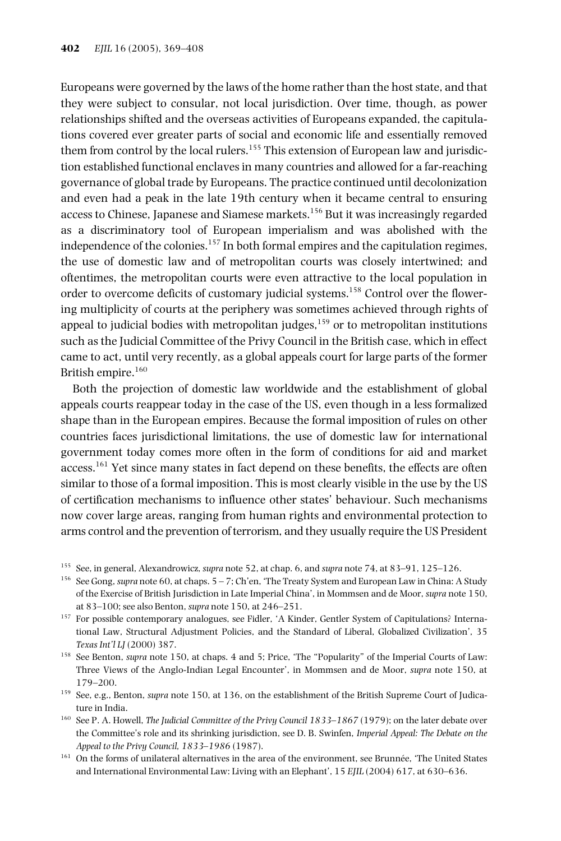Europeans were governed by the laws of the home rather than the host state, and that they were subject to consular, not local jurisdiction. Over time, though, as power relationships shifted and the overseas activities of Europeans expanded, the capitulations covered ever greater parts of social and economic life and essentially removed them from control by the local rulers.<sup>155</sup> This extension of European law and jurisdiction established functional enclaves in many countries and allowed for a far-reaching governance of global trade by Europeans. The practice continued until decolonization and even had a peak in the late 19th century when it became central to ensuring access to Chinese, Japanese and Siamese markets.156 But it was increasingly regarded as a discriminatory tool of European imperialism and was abolished with the independence of the colonies.157 In both formal empires and the capitulation regimes, the use of domestic law and of metropolitan courts was closely intertwined; and oftentimes, the metropolitan courts were even attractive to the local population in order to overcome deficits of customary judicial systems.158 Control over the flowering multiplicity of courts at the periphery was sometimes achieved through rights of appeal to judicial bodies with metropolitan judges, $159$  or to metropolitan institutions such as the Judicial Committee of the Privy Council in the British case, which in effect came to act, until very recently, as a global appeals court for large parts of the former British empire.<sup>160</sup>

Both the projection of domestic law worldwide and the establishment of global appeals courts reappear today in the case of the US, even though in a less formalized shape than in the European empires. Because the formal imposition of rules on other countries faces jurisdictional limitations, the use of domestic law for international government today comes more often in the form of conditions for aid and market access.161 Yet since many states in fact depend on these benefits, the effects are often similar to those of a formal imposition. This is most clearly visible in the use by the US of certification mechanisms to influence other states' behaviour. Such mechanisms now cover large areas, ranging from human rights and environmental protection to arms control and the prevention of terrorism, and they usually require the US President

- <sup>155</sup> See, in general, Alexandrowicz, *supra* note 52, at chap. 6, and *supra* note 74, at 83–91, 125–126.<br><sup>156</sup> See Gong, *supra* note 60, at chaps. 5 7; Ch'en, 'The Treaty System and European Law in China: A Study of the Exercise of British Jurisdiction in Late Imperial China', in Mommsen and de Moor, *supra* note 150,
- at 83–100; see also Benton, *supra* note 150, at 246–251.<br><sup>157</sup> For possible contemporary analogues, see Fidler, 'A Kinder, Gentler System of Capitulations? International Law, Structural Adjustment Policies, and the Standard of Liberal, Globalized Civilization', 35
- *Texas Int'l LJ* (2000) 387.<br><sup>158</sup> See Benton, *supra* note 150, at chaps. 4 and 5; Price, 'The "Popularity" of the Imperial Courts of Law: Three Views of the Anglo-Indian Legal Encounter', in Mommsen and de Moor, *supra* note 150, at 179–200. 159 See, e.g., Benton, *supra* note 150, at 136, on the establishment of the British Supreme Court of Judica-
- ture in India. 160 See P. A. Howell, *The Judicial Committee of the Privy Council 1833–1867* (1979); on the later debate over
- the Committee's role and its shrinking jurisdiction, see D. B. Swinfen, *Imperial Appeal: The Debate on the*
- *Appeal to the Privy Council, 1833–1986* (1987). *161* On the forms of unilateral alternatives in the area of the environment, see Brunnée, 'The United States and International Environmental Law: Living with an Elephant', 15 *EJIL* (2004) 617, at 630–636.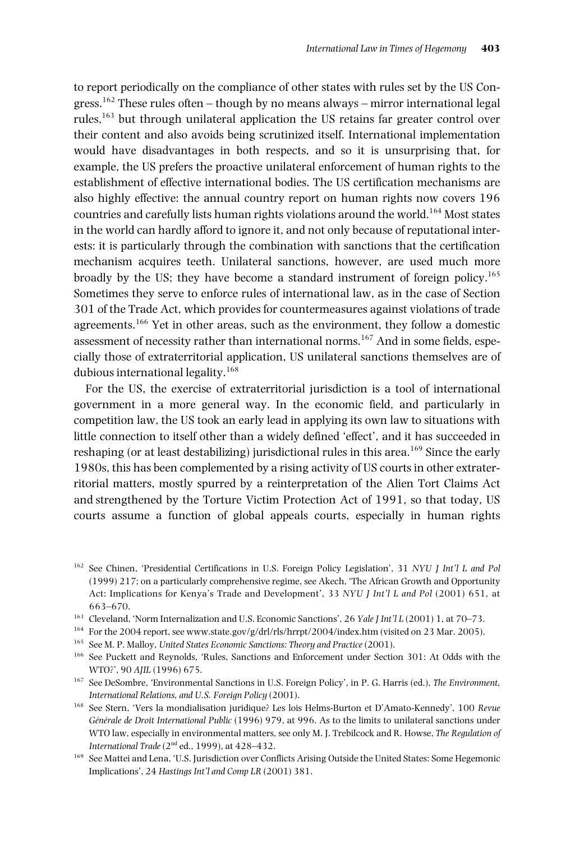to report periodically on the compliance of other states with rules set by the US Congress.<sup>162</sup> These rules often – though by no means always – mirror international legal rules,163 but through unilateral application the US retains far greater control over their content and also avoids being scrutinized itself. International implementation would have disadvantages in both respects, and so it is unsurprising that, for example, the US prefers the proactive unilateral enforcement of human rights to the establishment of effective international bodies. The US certification mechanisms are also highly effective: the annual country report on human rights now covers 196 countries and carefully lists human rights violations around the world.<sup>164</sup> Most states in the world can hardly afford to ignore it, and not only because of reputational interests: it is particularly through the combination with sanctions that the certification mechanism acquires teeth. Unilateral sanctions, however, are used much more broadly by the US; they have become a standard instrument of foreign policy.165 Sometimes they serve to enforce rules of international law, as in the case of Section 301 of the Trade Act, which provides for countermeasures against violations of trade agreements.166 Yet in other areas, such as the environment, they follow a domestic assessment of necessity rather than international norms.<sup>167</sup> And in some fields, especially those of extraterritorial application, US unilateral sanctions themselves are of dubious international legality.168

For the US, the exercise of extraterritorial jurisdiction is a tool of international government in a more general way. In the economic field, and particularly in competition law, the US took an early lead in applying its own law to situations with little connection to itself other than a widely defined 'effect', and it has succeeded in reshaping (or at least destabilizing) jurisdictional rules in this area.<sup>169</sup> Since the early 1980s, this has been complemented by a rising activity of US courts in other extraterritorial matters, mostly spurred by a reinterpretation of the Alien Tort Claims Act and strengthened by the Torture Victim Protection Act of 1991, so that today, US courts assume a function of global appeals courts, especially in human rights

- 
- WTO?', 90 *AJIL* (1996) 675.<br><sup>167</sup> See DeSombre, 'Environmental Sanctions in U.S. Foreign Policy', in P. G. Harris (ed.), *The Environment*,

Implications', 24 *Hastings Int'l and Comp LR* (2001) 381.

<sup>162</sup> See Chinen, 'Presidential Certifications in U.S. Foreign Policy Legislation', 31 *NYU J Int'l L and Pol* (1999) 217; on a particularly comprehensive regime, see Akech, 'The African Growth and Opportunity Act: Implications for Kenya's Trade and Development', 33 *NYU J Int'l L and Pol* (2001) 651, at % 663–670.<br>
<sup>163</sup> Cleveland, 'Norm Internalization and U.S. Economic Sanctions', 26 *Yale J Int'l L* (2001) 1, at 70–73.<br>
<sup>164</sup> For the 2004 report, see <www.state.gov/g/drl/rls/hrrpt/2004/index.htm> (visited on 23 Mar. 200

*International Relations, and U.S. Foreign Policy* (2001). 168 See Stern, 'Vers la mondialisation juridique? Les lois Helms-Burton et D'Amato-Kennedy', 100 *Revue*

*Générale de Droit International Public* (1996) 979, at 996. As to the limits to unilateral sanctions under WTO law, especially in environmental matters, see only M. J. Trebilcock and R. Howse, *The Regulation of International Trade* (2<sup>nd</sup> ed., 1999), at 428–432.<br><sup>169</sup> See Mattei and Lena, 'U.S. Jurisdiction over Conflicts Arising Outside the United States: Some Hegemonic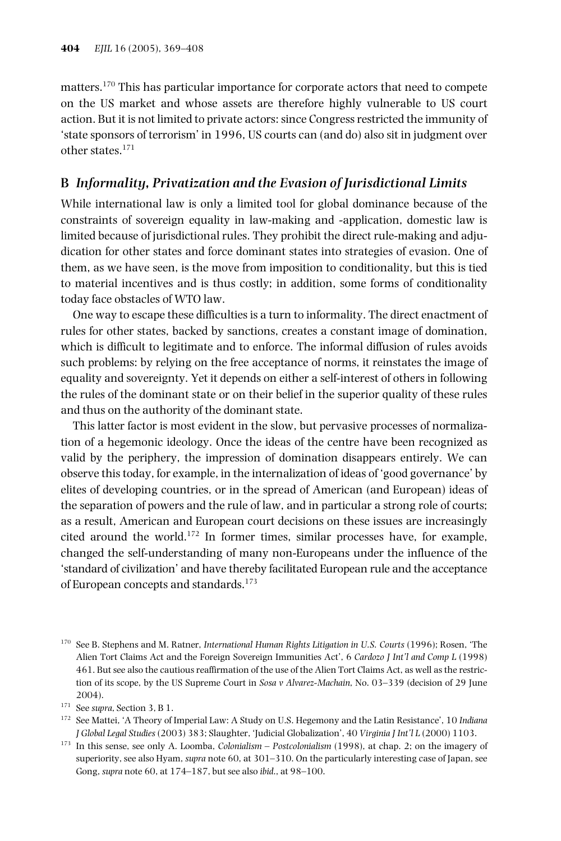matters.170 This has particular importance for corporate actors that need to compete on the US market and whose assets are therefore highly vulnerable to US court action. But it is not limited to private actors: since Congress restricted the immunity of 'state sponsors of terrorism' in 1996, US courts can (and do) also sit in judgment over other states.171

### **B** *Informality, Privatization and the Evasion of Jurisdictional Limits*

While international law is only a limited tool for global dominance because of the constraints of sovereign equality in law-making and -application, domestic law is limited because of jurisdictional rules. They prohibit the direct rule-making and adjudication for other states and force dominant states into strategies of evasion. One of them, as we have seen, is the move from imposition to conditionality, but this is tied to material incentives and is thus costly; in addition, some forms of conditionality today face obstacles of WTO law.

One way to escape these difficulties is a turn to informality. The direct enactment of rules for other states, backed by sanctions, creates a constant image of domination, which is difficult to legitimate and to enforce. The informal diffusion of rules avoids such problems: by relying on the free acceptance of norms, it reinstates the image of equality and sovereignty. Yet it depends on either a self-interest of others in following the rules of the dominant state or on their belief in the superior quality of these rules and thus on the authority of the dominant state.

This latter factor is most evident in the slow, but pervasive processes of normalization of a hegemonic ideology. Once the ideas of the centre have been recognized as valid by the periphery, the impression of domination disappears entirely. We can observe this today, for example, in the internalization of ideas of 'good governance' by elites of developing countries, or in the spread of American (and European) ideas of the separation of powers and the rule of law, and in particular a strong role of courts; as a result, American and European court decisions on these issues are increasingly cited around the world.<sup>172</sup> In former times, similar processes have, for example, changed the self-understanding of many non-Europeans under the influence of the 'standard of civilization' and have thereby facilitated European rule and the acceptance of European concepts and standards.<sup>173</sup>

<sup>170</sup> See B. Stephens and M. Ratner, *International Human Rights Litigation in U.S. Courts* (1996); Rosen, 'The Alien Tort Claims Act and the Foreign Sovereign Immunities Act', 6 *Cardozo J Int'l and Comp L* (1998) 461. But see also the cautious reaffirmation of the use of the Alien Tort Claims Act, as well as the restriction of its scope, by the US Supreme Court in *Sosa v Alvarez-Machain*, No. 03–339 (decision of 29 June 2004). 171 See *supra*, Section 3, B 1. 172 See Mattei, 'A Theory of Imperial Law: A Study on U.S. Hegemony and the Latin Resistance', 10 *Indiana*

*J* Global Legal Studies (2003) 383; Slaughter, 'Judicial Globalization', 40 *Virginia J Int'l L* (2000) 1103.<br><sup>173</sup> In this sense, see only A. Loomba, *Colonialism* – *Postcolonialism* (1998), at chap. 2; on the imagery

superiority, see also Hyam, *supra* note 60, at 301–310. On the particularly interesting case of Japan, see Gong, *supra* note 60, at 174–187, but see also *ibid*., at 98–100.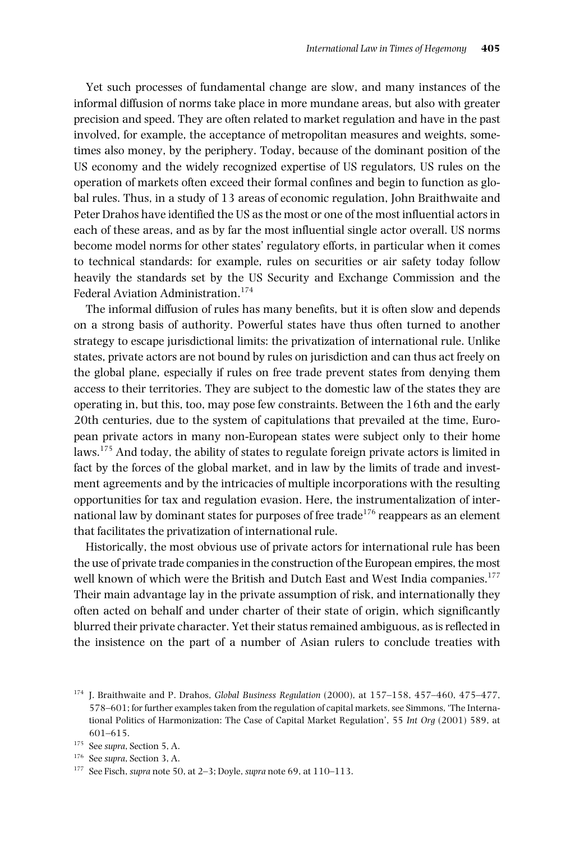Yet such processes of fundamental change are slow, and many instances of the informal diffusion of norms take place in more mundane areas, but also with greater precision and speed. They are often related to market regulation and have in the past involved, for example, the acceptance of metropolitan measures and weights, sometimes also money, by the periphery. Today, because of the dominant position of the US economy and the widely recognized expertise of US regulators, US rules on the operation of markets often exceed their formal confines and begin to function as global rules. Thus, in a study of 13 areas of economic regulation, John Braithwaite and Peter Drahos have identified the US as the most or one of the most influential actors in each of these areas, and as by far the most influential single actor overall. US norms become model norms for other states' regulatory efforts, in particular when it comes to technical standards: for example, rules on securities or air safety today follow heavily the standards set by the US Security and Exchange Commission and the Federal Aviation Administration.<sup>174</sup>

The informal diffusion of rules has many benefits, but it is often slow and depends on a strong basis of authority. Powerful states have thus often turned to another strategy to escape jurisdictional limits: the privatization of international rule. Unlike states, private actors are not bound by rules on jurisdiction and can thus act freely on the global plane, especially if rules on free trade prevent states from denying them access to their territories. They are subject to the domestic law of the states they are operating in, but this, too, may pose few constraints. Between the 16th and the early 20th centuries, due to the system of capitulations that prevailed at the time, European private actors in many non-European states were subject only to their home laws.<sup>175</sup> And today, the ability of states to regulate foreign private actors is limited in fact by the forces of the global market, and in law by the limits of trade and investment agreements and by the intricacies of multiple incorporations with the resulting opportunities for tax and regulation evasion. Here, the instrumentalization of international law by dominant states for purposes of free trade<sup>176</sup> reappears as an element that facilitates the privatization of international rule.

Historically, the most obvious use of private actors for international rule has been the use of private trade companies in the construction of the European empires, the most well known of which were the British and Dutch East and West India companies.<sup>177</sup> Their main advantage lay in the private assumption of risk, and internationally they often acted on behalf and under charter of their state of origin, which significantly blurred their private character. Yet their status remained ambiguous, as is reflected in the insistence on the part of a number of Asian rulers to conclude treaties with

<sup>174</sup> J. Braithwaite and P. Drahos, *Global Business Regulation* (2000), at 157–158, 457–460, 475–477, 578–601; for further examples taken from the regulation of capital markets, see Simmons, 'The International Politics of Harmonization: The Case of Capital Market Regulation', 55 *Int Org* (2001) 589, at 601–615. 175 See *supra*, Section 5, A. 176 See *supra*, Section 3, A. 177 See Fisch, *supra* note 50, at 2–3; Doyle, *supra* note 69, at 110–113.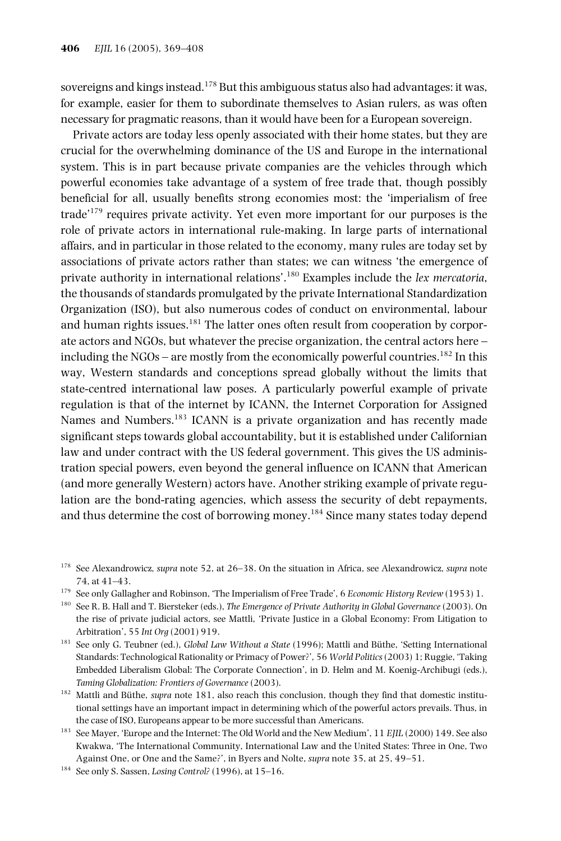sovereigns and kings instead.<sup>178</sup> But this ambiguous status also had advantages: it was, for example, easier for them to subordinate themselves to Asian rulers, as was often necessary for pragmatic reasons, than it would have been for a European sovereign.

Private actors are today less openly associated with their home states, but they are crucial for the overwhelming dominance of the US and Europe in the international system. This is in part because private companies are the vehicles through which powerful economies take advantage of a system of free trade that, though possibly beneficial for all, usually benefits strong economies most: the 'imperialism of free trade'179 requires private activity. Yet even more important for our purposes is the role of private actors in international rule-making. In large parts of international affairs, and in particular in those related to the economy, many rules are today set by associations of private actors rather than states; we can witness 'the emergence of private authority in international relations'.180 Examples include the *lex mercatoria*, the thousands of standards promulgated by the private International Standardization Organization (ISO), but also numerous codes of conduct on environmental, labour and human rights issues.<sup>181</sup> The latter ones often result from cooperation by corporate actors and NGOs, but whatever the precise organization, the central actors here – including the NGOs – are mostly from the economically powerful countries.<sup>182</sup> In this way, Western standards and conceptions spread globally without the limits that state-centred international law poses. A particularly powerful example of private regulation is that of the internet by ICANN, the Internet Corporation for Assigned Names and Numbers.<sup>183</sup> ICANN is a private organization and has recently made significant steps towards global accountability, but it is established under Californian law and under contract with the US federal government. This gives the US administration special powers, even beyond the general influence on ICANN that American (and more generally Western) actors have. Another striking example of private regulation are the bond-rating agencies, which assess the security of debt repayments, and thus determine the cost of borrowing money.<sup>184</sup> Since many states today depend

<sup>178</sup> See Alexandrowicz, *supra* note 52, at 26–38. On the situation in Africa, see Alexandrowicz, *supra* note 74, at 41–43.<br><sup>179</sup> See only Gallagher and Robinson, 'The Imperialism of Free Trade', 6 *Economic History Review* (1953) 1.<br><sup>180</sup> See R. B. Hall and T. Biersteker (eds.), *The Emergence of Private Authority in Global Gove* 

the rise of private judicial actors, see Mattli, 'Private Justice in a Global Economy: From Litigation to Arbitration', 55 *Int Org* (2001) 919.<br><sup>181</sup> See only G. Teubner (ed.), *Global Law Without a State* (1996); Mattli and Büthe, 'Setting International

Standards: Technological Rationality or Primacy of Power?', 56 *World Politics* (2003) 1; Ruggie, 'Taking Embedded Liberalism Global: The Corporate Connection', in D. Helm and M. Koenig-Archibugi (eds.), *Taming Globalization: Frontiers of Governance* (2003). 182 Mattli and Büthe, *supra* note 181, also reach this conclusion, though they find that domestic institu-

tional settings have an important impact in determining which of the powerful actors prevails. Thus, in

the case of ISO, Europeans appear to be more successful than Americans. 183 See Mayer, 'Europe and the Internet: The Old World and the New Medium', 11 *EJIL* (2000) 149. See also Kwakwa, 'The International Community, International Law and the United States: Three in One, Two Against One, or One and the Same?', in Byers and Nolte, *supra* note 35, at 25, 49–51.<br><sup>184</sup> See only S. Sassen, *Losing Control*? (1996), at 15–16.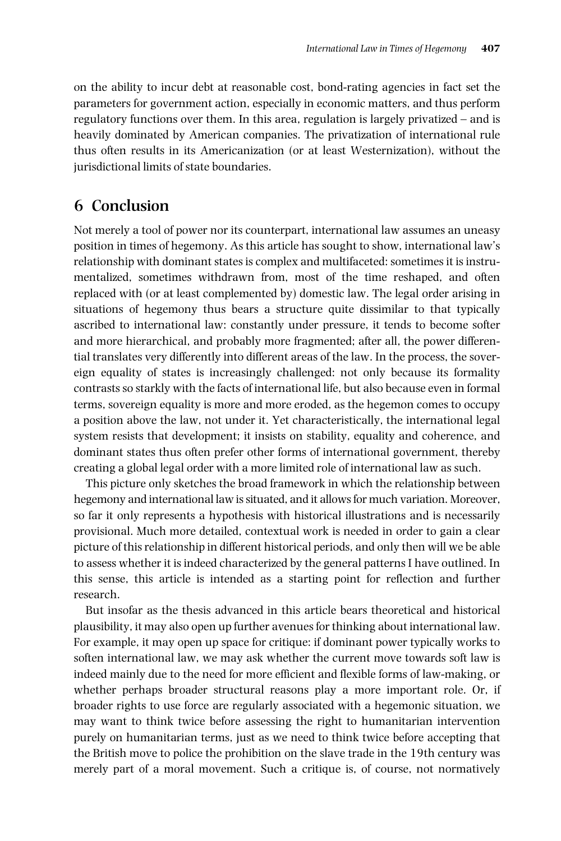on the ability to incur debt at reasonable cost, bond-rating agencies in fact set the parameters for government action, especially in economic matters, and thus perform regulatory functions over them. In this area, regulation is largely privatized – and is heavily dominated by American companies. The privatization of international rule thus often results in its Americanization (or at least Westernization), without the jurisdictional limits of state boundaries.

### **6 Conclusion**

Not merely a tool of power nor its counterpart, international law assumes an uneasy position in times of hegemony. As this article has sought to show, international law's relationship with dominant states is complex and multifaceted: sometimes it is instrumentalized, sometimes withdrawn from, most of the time reshaped, and often replaced with (or at least complemented by) domestic law. The legal order arising in situations of hegemony thus bears a structure quite dissimilar to that typically ascribed to international law: constantly under pressure, it tends to become softer and more hierarchical, and probably more fragmented; after all, the power differential translates very differently into different areas of the law. In the process, the sovereign equality of states is increasingly challenged: not only because its formality contrasts so starkly with the facts of international life, but also because even in formal terms, sovereign equality is more and more eroded, as the hegemon comes to occupy a position above the law, not under it. Yet characteristically, the international legal system resists that development; it insists on stability, equality and coherence, and dominant states thus often prefer other forms of international government, thereby creating a global legal order with a more limited role of international law as such.

This picture only sketches the broad framework in which the relationship between hegemony and international law is situated, and it allows for much variation. Moreover, so far it only represents a hypothesis with historical illustrations and is necessarily provisional. Much more detailed, contextual work is needed in order to gain a clear picture of this relationship in different historical periods, and only then will we be able to assess whether it is indeed characterized by the general patterns I have outlined. In this sense, this article is intended as a starting point for reflection and further research.

But insofar as the thesis advanced in this article bears theoretical and historical plausibility, it may also open up further avenues for thinking about international law. For example, it may open up space for critique: if dominant power typically works to soften international law, we may ask whether the current move towards soft law is indeed mainly due to the need for more efficient and flexible forms of law-making, or whether perhaps broader structural reasons play a more important role. Or, if broader rights to use force are regularly associated with a hegemonic situation, we may want to think twice before assessing the right to humanitarian intervention purely on humanitarian terms, just as we need to think twice before accepting that the British move to police the prohibition on the slave trade in the 19th century was merely part of a moral movement. Such a critique is, of course, not normatively